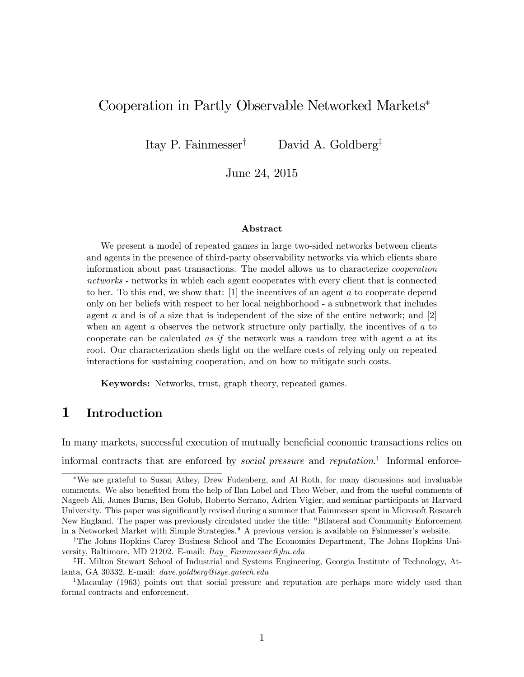## Cooperation in Partly Observable Networked Markets

Itay P. Fainmesser<sup>†</sup> David A. Goldberg<sup>‡</sup>

June 24, 2015

#### Abstract

We present a model of repeated games in large two-sided networks between clients and agents in the presence of third-party observability networks via which clients share information about past transactions. The model allows us to characterize cooperation networks - networks in which each agent cooperates with every client that is connected to her. To this end, we show that: [1] the incentives of an agent a to cooperate depend only on her beliefs with respect to her local neighborhood - a subnetwork that includes agent a and is of a size that is independent of the size of the entire network; and  $[2]$ when an agent  $a$  observes the network structure only partially, the incentives of  $a$  to cooperate can be calculated as if the network was a random tree with agent  $a$  at its root. Our characterization sheds light on the welfare costs of relying only on repeated interactions for sustaining cooperation, and on how to mitigate such costs.

Keywords: Networks, trust, graph theory, repeated games.

## 1 Introduction

In many markets, successful execution of mutually beneficial economic transactions relies on

informal contracts that are enforced by *social pressure* and *reputation*.<sup>1</sup> Informal enforce-

We are grateful to Susan Athey, Drew Fudenberg, and Al Roth, for many discussions and invaluable comments. We also benefited from the help of Ilan Lobel and Theo Weber, and from the useful comments of Nageeb Ali, James Burns, Ben Golub, Roberto Serrano, Adrien Vigier, and seminar participants at Harvard University. This paper was significantly revised during a summer that Fainmesser spent in Microsoft Research New England. The paper was previously circulated under the title: "Bilateral and Community Enforcement in a Networked Market with Simple Strategies." A previous version is available on Fainmesser's website.

<sup>&</sup>lt;sup>†</sup>The Johns Hopkins Carey Business School and The Economics Department, The Johns Hopkins University, Baltimore, MD 21202. E-mail: Itay\_Fainmesser@jhu.edu

<sup>&</sup>lt;sup>‡</sup>H. Milton Stewart School of Industrial and Systems Engineering, Georgia Institute of Technology, Atlanta, GA 30332, E-mail: dave.goldberg@isye.gatech.edu

<sup>&</sup>lt;sup>1</sup>Macaulay (1963) points out that social pressure and reputation are perhaps more widely used than formal contracts and enforcement.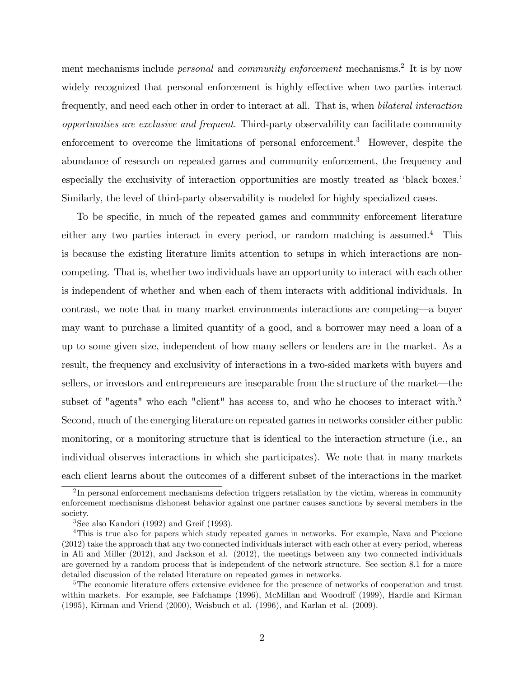ment mechanisms include *personal* and *community enforcement* mechanisms.<sup>2</sup> It is by now widely recognized that personal enforcement is highly effective when two parties interact frequently, and need each other in order to interact at all. That is, when bilateral interaction opportunities are exclusive and frequent. Third-party observability can facilitate community enforcement to overcome the limitations of personal enforcement.<sup>3</sup> However, despite the abundance of research on repeated games and community enforcement, the frequency and especially the exclusivity of interaction opportunities are mostly treated as 'black boxes.' Similarly, the level of third-party observability is modeled for highly specialized cases.

To be specific, in much of the repeated games and community enforcement literature either any two parties interact in every period, or random matching is assumed.<sup>4</sup> This is because the existing literature limits attention to setups in which interactions are noncompeting. That is, whether two individuals have an opportunity to interact with each other is independent of whether and when each of them interacts with additional individuals. In contrast, we note that in many market environments interactions are competing—a buyer may want to purchase a limited quantity of a good, and a borrower may need a loan of a up to some given size, independent of how many sellers or lenders are in the market. As a result, the frequency and exclusivity of interactions in a two-sided markets with buyers and sellers, or investors and entrepreneurs are inseparable from the structure of the market—the subset of "agents" who each "client" has access to, and who he chooses to interact with.<sup>5</sup> Second, much of the emerging literature on repeated games in networks consider either public monitoring, or a monitoring structure that is identical to the interaction structure (i.e., an individual observes interactions in which she participates). We note that in many markets each client learns about the outcomes of a different subset of the interactions in the market

<sup>&</sup>lt;sup>2</sup>In personal enforcement mechanisms defection triggers retaliation by the victim, whereas in community enforcement mechanisms dishonest behavior against one partner causes sanctions by several members in the society.

<sup>3</sup>See also Kandori (1992) and Greif (1993).

<sup>&</sup>lt;sup>4</sup>This is true also for papers which study repeated games in networks. For example, Nava and Piccione (2012) take the approach that any two connected individuals interact with each other at every period, whereas in Ali and Miller (2012), and Jackson et al. (2012), the meetings between any two connected individuals are governed by a random process that is independent of the network structure. See section 8.1 for a more detailed discussion of the related literature on repeated games in networks.

 $5$ The economic literature offers extensive evidence for the presence of networks of cooperation and trust within markets. For example, see Fafchamps (1996), McMillan and Woodruff (1999), Hardle and Kirman (1995), Kirman and Vriend (2000), Weisbuch et al. (1996), and Karlan et al. (2009).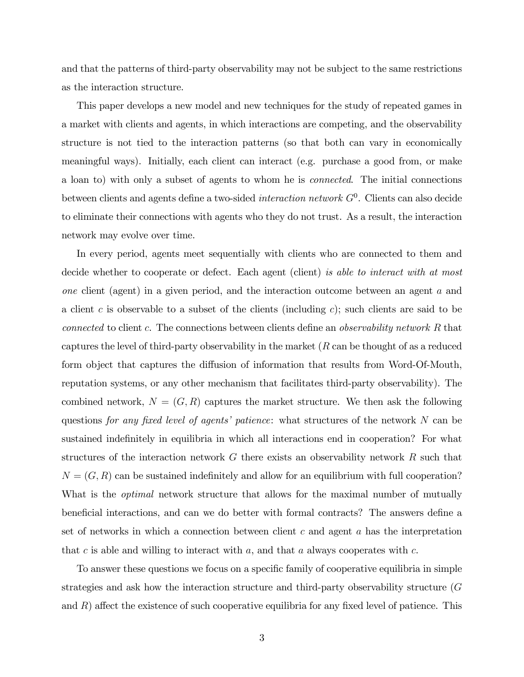and that the patterns of third-party observability may not be subject to the same restrictions as the interaction structure.

This paper develops a new model and new techniques for the study of repeated games in a market with clients and agents, in which interactions are competing, and the observability structure is not tied to the interaction patterns (so that both can vary in economically meaningful ways). Initially, each client can interact (e.g. purchase a good from, or make a loan to) with only a subset of agents to whom he is connected. The initial connections between clients and agents define a two-sided *interaction network*  $G^0$ . Clients can also decide to eliminate their connections with agents who they do not trust. As a result, the interaction network may evolve over time.

In every period, agents meet sequentially with clients who are connected to them and decide whether to cooperate or defect. Each agent (client) is able to interact with at most one client (agent) in a given period, and the interaction outcome between an agent a and a client c is observable to a subset of the clients (including c); such clients are said to be connected to client c. The connections between clients define an *observability network*  $R$  that captures the level of third-party observability in the market  $(R \text{ can be thought of as a reduced})$ form object that captures the diffusion of information that results from Word-Of-Mouth, reputation systems, or any other mechanism that facilitates third-party observability). The combined network,  $N = (G, R)$  captures the market structure. We then ask the following questions for any fixed level of agents' patience: what structures of the network  $N$  can be sustained indefinitely in equilibria in which all interactions end in cooperation? For what structures of the interaction network  $G$  there exists an observability network  $R$  such that  $N = (G, R)$  can be sustained indefinitely and allow for an equilibrium with full cooperation? What is the *optimal* network structure that allows for the maximal number of mutually beneficial interactions, and can we do better with formal contracts? The answers define a set of networks in which a connection between client  $c$  and agent  $a$  has the interpretation that  $c$  is able and willing to interact with  $a$ , and that  $a$  always cooperates with  $c$ .

To answer these questions we focus on a specific family of cooperative equilibria in simple strategies and ask how the interaction structure and third-party observability structure (G and  $R$ ) affect the existence of such cooperative equilibria for any fixed level of patience. This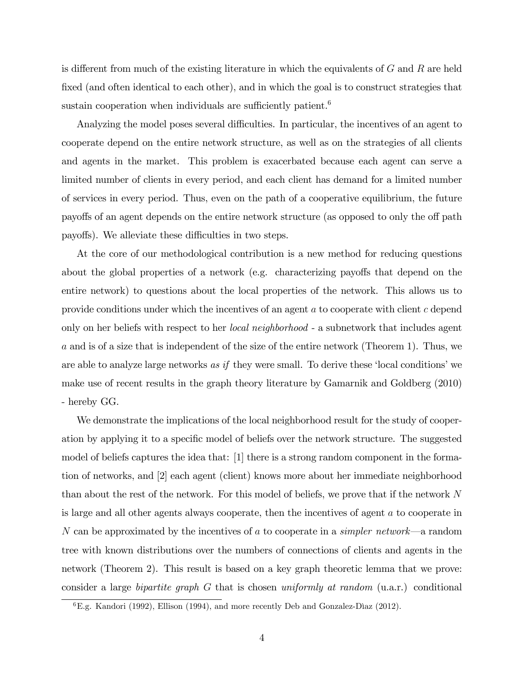is different from much of the existing literature in which the equivalents of  $G$  and  $R$  are held fixed (and often identical to each other), and in which the goal is to construct strategies that sustain cooperation when individuals are sufficiently patient.<sup>6</sup>

Analyzing the model poses several difficulties. In particular, the incentives of an agent to cooperate depend on the entire network structure, as well as on the strategies of all clients and agents in the market. This problem is exacerbated because each agent can serve a limited number of clients in every period, and each client has demand for a limited number of services in every period. Thus, even on the path of a cooperative equilibrium, the future payoffs of an agent depends on the entire network structure (as opposed to only the off path payoffs). We alleviate these difficulties in two steps.

At the core of our methodological contribution is a new method for reducing questions about the global properties of a network (e.g. characterizing payoffs that depend on the entire network) to questions about the local properties of the network. This allows us to provide conditions under which the incentives of an agent a to cooperate with client c depend only on her beliefs with respect to her local neighborhood - a subnetwork that includes agent a and is of a size that is independent of the size of the entire network (Theorem 1). Thus, we are able to analyze large networks as if they were small. To derive these 'local conditions' we make use of recent results in the graph theory literature by Gamarnik and Goldberg (2010) - hereby GG.

We demonstrate the implications of the local neighborhood result for the study of cooperation by applying it to a specific model of beliefs over the network structure. The suggested model of beliefs captures the idea that: [1] there is a strong random component in the formation of networks, and [2] each agent (client) knows more about her immediate neighborhood than about the rest of the network. For this model of beliefs, we prove that if the network N is large and all other agents always cooperate, then the incentives of agent a to cooperate in N can be approximated by the incentives of a to cooperate in a *simpler network*—a random tree with known distributions over the numbers of connections of clients and agents in the network (Theorem 2). This result is based on a key graph theoretic lemma that we prove: consider a large bipartite graph G that is chosen uniformly at random (u.a.r.) conditional

 ${}^{6}E.g.$  Kandori (1992), Ellison (1994), and more recently Deb and Gonzalez-Diaz (2012).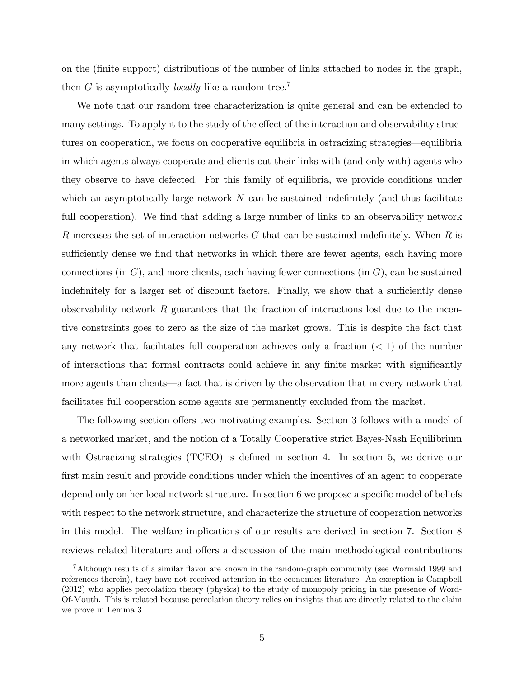on the (Önite support) distributions of the number of links attached to nodes in the graph, then G is asymptotically *locally* like a random tree.<sup>7</sup>

We note that our random tree characterization is quite general and can be extended to many settings. To apply it to the study of the effect of the interaction and observability structures on cooperation, we focus on cooperative equilibria in ostracizing strategies—equilibria in which agents always cooperate and clients cut their links with (and only with) agents who they observe to have defected. For this family of equilibria, we provide conditions under which an asymptotically large network  $N$  can be sustained indefinitely (and thus facilitate full cooperation). We find that adding a large number of links to an observability network R increases the set of interaction networks  $G$  that can be sustained indefinitely. When  $R$  is sufficiently dense we find that networks in which there are fewer agents, each having more connections (in  $G$ ), and more clients, each having fewer connections (in  $G$ ), can be sustained indefinitely for a larger set of discount factors. Finally, we show that a sufficiently dense observability network  $R$  guarantees that the fraction of interactions lost due to the incentive constraints goes to zero as the size of the market grows. This is despite the fact that any network that facilitates full cooperation achieves only a fraction  $(< 1$ ) of the number of interactions that formal contracts could achieve in any finite market with significantly more agents than clients—a fact that is driven by the observation that in every network that facilitates full cooperation some agents are permanently excluded from the market.

The following section offers two motivating examples. Section 3 follows with a model of a networked market, and the notion of a Totally Cooperative strict Bayes-Nash Equilibrium with Ostracizing strategies (TCEO) is defined in section 4. In section 5, we derive our first main result and provide conditions under which the incentives of an agent to cooperate depend only on her local network structure. In section  $6$  we propose a specific model of beliefs with respect to the network structure, and characterize the structure of cooperation networks in this model. The welfare implications of our results are derived in section 7. Section 8 reviews related literature and offers a discussion of the main methodological contributions

<sup>&</sup>lt;sup>7</sup>Although results of a similar flavor are known in the random-graph community (see Wormald 1999 and references therein), they have not received attention in the economics literature. An exception is Campbell (2012) who applies percolation theory (physics) to the study of monopoly pricing in the presence of Word-Of-Mouth. This is related because percolation theory relies on insights that are directly related to the claim we prove in Lemma 3.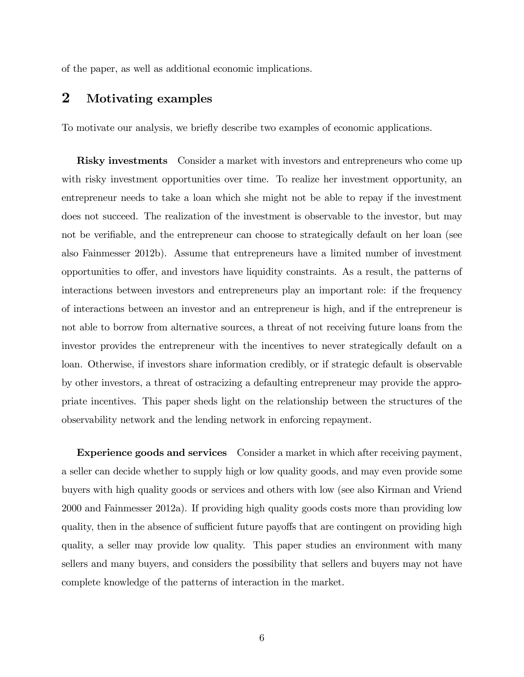of the paper, as well as additional economic implications.

## 2 Motivating examples

To motivate our analysis, we brieáy describe two examples of economic applications.

**Risky investments** Consider a market with investors and entrepreneurs who come up with risky investment opportunities over time. To realize her investment opportunity, an entrepreneur needs to take a loan which she might not be able to repay if the investment does not succeed. The realization of the investment is observable to the investor, but may not be verifiable, and the entrepreneur can choose to strategically default on her loan (see also Fainmesser 2012b). Assume that entrepreneurs have a limited number of investment opportunities to offer, and investors have liquidity constraints. As a result, the patterns of interactions between investors and entrepreneurs play an important role: if the frequency of interactions between an investor and an entrepreneur is high, and if the entrepreneur is not able to borrow from alternative sources, a threat of not receiving future loans from the investor provides the entrepreneur with the incentives to never strategically default on a loan. Otherwise, if investors share information credibly, or if strategic default is observable by other investors, a threat of ostracizing a defaulting entrepreneur may provide the appropriate incentives. This paper sheds light on the relationship between the structures of the observability network and the lending network in enforcing repayment.

**Experience goods and services** Consider a market in which after receiving payment, a seller can decide whether to supply high or low quality goods, and may even provide some buyers with high quality goods or services and others with low (see also Kirman and Vriend 2000 and Fainmesser 2012a). If providing high quality goods costs more than providing low quality, then in the absence of sufficient future payoffs that are contingent on providing high quality, a seller may provide low quality. This paper studies an environment with many sellers and many buyers, and considers the possibility that sellers and buyers may not have complete knowledge of the patterns of interaction in the market.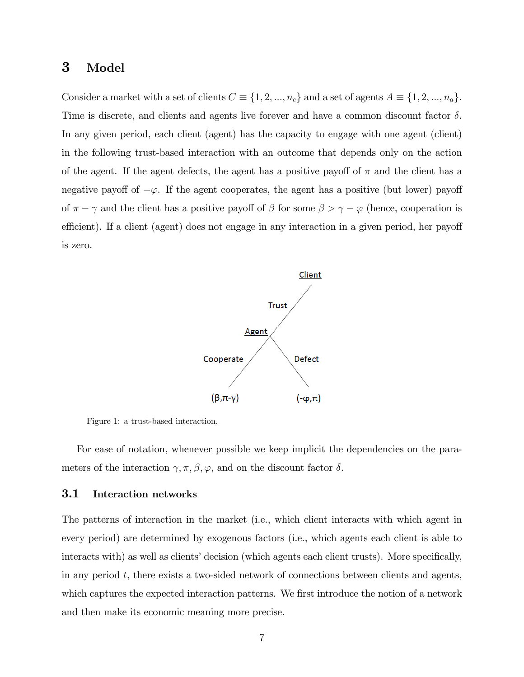## 3 Model

Consider a market with a set of clients  $C \equiv \{1, 2, ..., n_c\}$  and a set of agents  $A \equiv \{1, 2, ..., n_a\}.$ Time is discrete, and clients and agents live forever and have a common discount factor  $\delta$ . In any given period, each client (agent) has the capacity to engage with one agent (client) in the following trust-based interaction with an outcome that depends only on the action of the agent. If the agent defects, the agent has a positive payoff of  $\pi$  and the client has a negative payoff of  $-\varphi$ . If the agent cooperates, the agent has a positive (but lower) payoff of  $\pi - \gamma$  and the client has a positive payoff of  $\beta$  for some  $\beta > \gamma - \varphi$  (hence, cooperation is efficient). If a client (agent) does not engage in any interaction in a given period, her payoff is zero.



Figure 1: a trust-based interaction.

For ease of notation, whenever possible we keep implicit the dependencies on the parameters of the interaction  $\gamma, \pi, \beta, \varphi,$  and on the discount factor  $\delta.$ 

#### 3.1 Interaction networks

The patterns of interaction in the market (i.e., which client interacts with which agent in every period) are determined by exogenous factors (i.e., which agents each client is able to interacts with) as well as clients' decision (which agents each client trusts). More specifically, in any period  $t$ , there exists a two-sided network of connections between clients and agents, which captures the expected interaction patterns. We first introduce the notion of a network and then make its economic meaning more precise.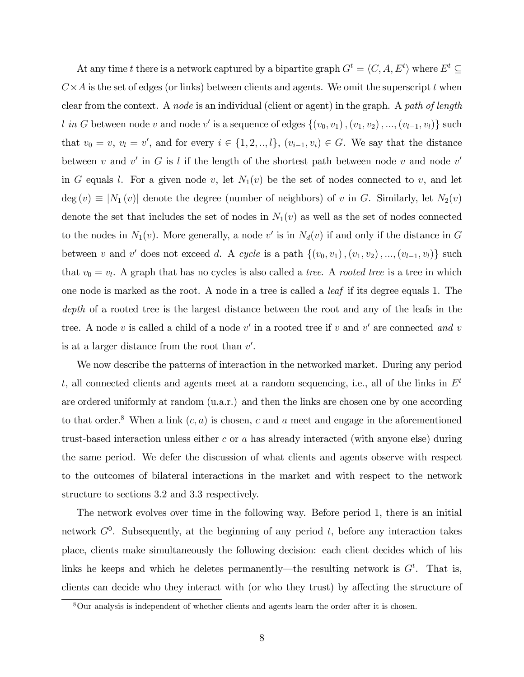At any time t there is a network captured by a bipartite graph  $G^t = \langle C, A, E^t \rangle$  where  $E^t \subseteq$  $C \times A$  is the set of edges (or links) between clients and agents. We omit the superscript t when clear from the context. A node is an individual (client or agent) in the graph. A path of length l in G between node v and node v' is a sequence of edges  $\{(v_0, v_1), (v_1, v_2), ..., (v_{l-1}, v_l)\}$  such that  $v_0 = v, v_l = v'$ , and for every  $i \in \{1, 2, ..., l\}, (v_{i-1}, v_i) \in G$ . We say that the distance between v and v' in G is l if the length of the shortest path between node v and node v' in G equals l. For a given node v, let  $N_1(v)$  be the set of nodes connected to v, and let deg  $(v) \equiv |N_1(v)|$  denote the degree (number of neighbors) of v in G. Similarly, let  $N_2(v)$ denote the set that includes the set of nodes in  $N_1(v)$  as well as the set of nodes connected to the nodes in  $N_1(v)$ . More generally, a node v' is in  $N_d(v)$  if and only if the distance in G between v and v' does not exceed d. A cycle is a path  $\{(v_0, v_1), (v_1, v_2), ..., (v_{l-1}, v_l)\}\$  such that  $v_0 = v_l$ . A graph that has no cycles is also called a *tree*. A *rooted tree* is a tree in which one node is marked as the root. A node in a tree is called a leaf if its degree equals 1. The depth of a rooted tree is the largest distance between the root and any of the leafs in the tree. A node v is called a child of a node v' in a rooted tree if v and v' are connected and v is at a larger distance from the root than  $v'$ .

We now describe the patterns of interaction in the networked market. During any period t, all connected clients and agents meet at a random sequencing, i.e., all of the links in  $E<sup>t</sup>$ are ordered uniformly at random (u.a.r.) and then the links are chosen one by one according to that order.<sup>8</sup> When a link  $(c, a)$  is chosen, c and a meet and engage in the aforementioned trust-based interaction unless either c or a has already interacted (with anyone else) during the same period. We defer the discussion of what clients and agents observe with respect to the outcomes of bilateral interactions in the market and with respect to the network structure to sections 3.2 and 3.3 respectively.

The network evolves over time in the following way. Before period 1, there is an initial network  $G^0$ . Subsequently, at the beginning of any period t, before any interaction takes place, clients make simultaneously the following decision: each client decides which of his links he keeps and which he deletes permanently—the resulting network is  $G<sup>t</sup>$ . That is, clients can decide who they interact with (or who they trust) by affecting the structure of

<sup>8</sup>Our analysis is independent of whether clients and agents learn the order after it is chosen.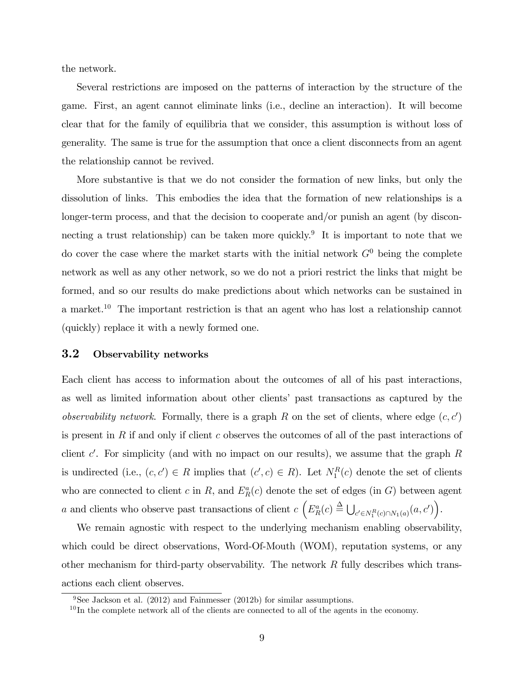the network.

Several restrictions are imposed on the patterns of interaction by the structure of the game. First, an agent cannot eliminate links (i.e., decline an interaction). It will become clear that for the family of equilibria that we consider, this assumption is without loss of generality. The same is true for the assumption that once a client disconnects from an agent the relationship cannot be revived.

More substantive is that we do not consider the formation of new links, but only the dissolution of links. This embodies the idea that the formation of new relationships is a longer-term process, and that the decision to cooperate and/or punish an agent (by disconnecting a trust relationship) can be taken more quickly.<sup>9</sup> It is important to note that we do cover the case where the market starts with the initial network  $G^0$  being the complete network as well as any other network, so we do not a priori restrict the links that might be formed, and so our results do make predictions about which networks can be sustained in a market.<sup>10</sup> The important restriction is that an agent who has lost a relationship cannot (quickly) replace it with a newly formed one.

#### 3.2 Observability networks

Each client has access to information about the outcomes of all of his past interactions, as well as limited information about other clientsí past transactions as captured by the observability network. Formally, there is a graph R on the set of clients, where edge  $(c, c')$ is present in R if and only if client c observes the outcomes of all of the past interactions of client  $c'$ . For simplicity (and with no impact on our results), we assume that the graph R is undirected (i.e.,  $(c, c') \in R$  implies that  $(c', c) \in R$ ). Let  $N_1^R(c)$  denote the set of clients who are connected to client c in R, and  $E_R^a(c)$  denote the set of edges (in G) between agent a and clients who observe past transactions of client  $c \left( E_R^a(c) \stackrel{\Delta}{=} \bigcup_{c' \in N_1^R(c) \cap N_1(a)} (a, c') \right)$ .

We remain agnostic with respect to the underlying mechanism enabling observability, which could be direct observations, Word-Of-Mouth (WOM), reputation systems, or any other mechanism for third-party observability. The network  $R$  fully describes which transactions each client observes.

<sup>&</sup>lt;sup>9</sup>See Jackson et al.  $(2012)$  and Fainmesser  $(2012b)$  for similar assumptions.

 $10$ In the complete network all of the clients are connected to all of the agents in the economy.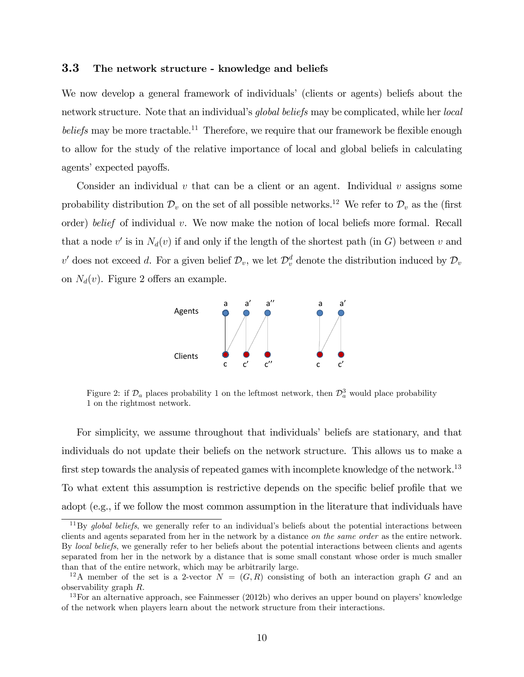#### 3.3 The network structure - knowledge and beliefs

We now develop a general framework of individuals' (clients or agents) beliefs about the network structure. Note that an individual's *global beliefs* may be complicated, while her *local* beliefs may be more tractable.<sup>11</sup> Therefore, we require that our framework be flexible enough to allow for the study of the relative importance of local and global beliefs in calculating agents' expected payoffs.

Consider an individual v that can be a client or an agent. Individual v assigns some probability distribution  $\mathcal{D}_v$  on the set of all possible networks.<sup>12</sup> We refer to  $\mathcal{D}_v$  as the (first order) belief of individual v. We now make the notion of local beliefs more formal. Recall that a node  $v'$  is in  $N_d(v)$  if and only if the length of the shortest path (in G) between v and  $v'$  does not exceed d. For a given belief  $\mathcal{D}_v$ , we let  $\mathcal{D}_v^d$  denote the distribution induced by  $\mathcal{D}_v$ on  $N_d(v)$ . Figure 2 offers an example.



Figure 2: if  $\mathcal{D}_a$  places probability 1 on the leftmost network, then  $\mathcal{D}_a^3$  would place probability 1 on the rightmost network.

For simplicity, we assume throughout that individuals' beliefs are stationary, and that individuals do not update their beliefs on the network structure. This allows us to make a first step towards the analysis of repeated games with incomplete knowledge of the network.<sup>13</sup> To what extent this assumption is restrictive depends on the specific belief profile that we adopt (e.g., if we follow the most common assumption in the literature that individuals have

 $11\,\text{By}$  global beliefs, we generally refer to an individual's beliefs about the potential interactions between clients and agents separated from her in the network by a distance on the same order as the entire network. By local beliefs, we generally refer to her beliefs about the potential interactions between clients and agents separated from her in the network by a distance that is some small constant whose order is much smaller than that of the entire network, which may be arbitrarily large.

<sup>&</sup>lt;sup>12</sup>A member of the set is a 2-vector  $N = (G, R)$  consisting of both an interaction graph G and an observability graph R.

 $13$ For an alternative approach, see Fainmesser (2012b) who derives an upper bound on players' knowledge of the network when players learn about the network structure from their interactions.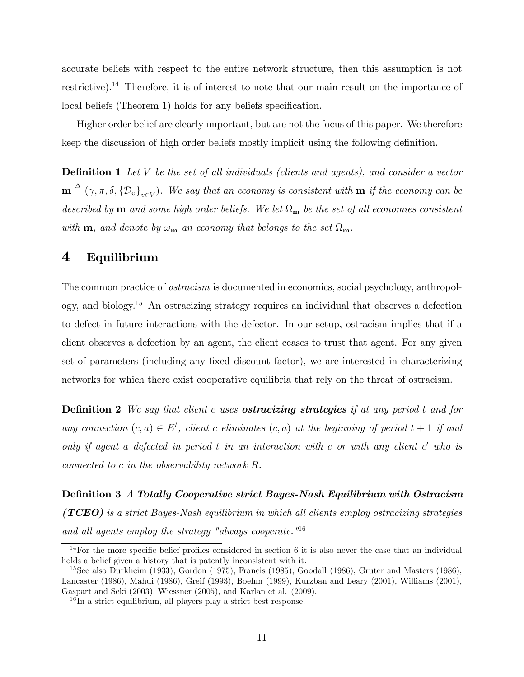accurate beliefs with respect to the entire network structure, then this assumption is not restrictive).<sup>14</sup> Therefore, it is of interest to note that our main result on the importance of local beliefs (Theorem 1) holds for any beliefs specification.

Higher order belief are clearly important, but are not the focus of this paper. We therefore keep the discussion of high order beliefs mostly implicit using the following definition.

**Definition 1** Let V be the set of all individuals (clients and agents), and consider a vector  $\mathbf{m} \triangleq (\gamma, \pi, \delta, {\{\mathcal{D}_v\}}_{v\in V})$ . We say that an economy is consistent with  $\mathbf{m}$  if the economy can be described by **m** and some high order beliefs. We let  $\Omega_{\bf m}$  be the set of all economies consistent with **m**, and denote by  $\omega_{\mathbf{m}}$  an economy that belongs to the set  $\Omega_{\mathbf{m}}$ .

## 4 Equilibrium

The common practice of ostracism is documented in economics, social psychology, anthropology, and biology.<sup>15</sup> An ostracizing strategy requires an individual that observes a defection to defect in future interactions with the defector. In our setup, ostracism implies that if a client observes a defection by an agent, the client ceases to trust that agent. For any given set of parameters (including any fixed discount factor), we are interested in characterizing networks for which there exist cooperative equilibria that rely on the threat of ostracism.

**Definition 2** We say that client c uses **ostracizing strategies** if at any period t and for any connection  $(c, a) \in E^t$ , client c eliminates  $(c, a)$  at the beginning of period  $t + 1$  if and only if agent a defected in period  $t$  in an interaction with  $c$  or with any client  $c'$  who is connected to c in the observability network R.

DeÖnition 3 A Totally Cooperative strict Bayes-Nash Equilibrium with Ostracism ( $\mathbf{TCEO}$ ) is a strict Bayes-Nash equilibrium in which all clients employ ostracizing strategies and all agents employ the strategy "always cooperate."<sup>16</sup>

<sup>&</sup>lt;sup>14</sup>For the more specific belief profiles considered in section 6 it is also never the case that an individual holds a belief given a history that is patently inconsistent with it.

<sup>&</sup>lt;sup>15</sup>See also Durkheim (1933), Gordon (1975), Francis (1985), Goodall (1986), Gruter and Masters (1986), Lancaster (1986), Mahdi (1986), Greif (1993), Boehm (1999), Kurzban and Leary (2001), Williams (2001), Gaspart and Seki (2003), Wiessner (2005), and Karlan et al. (2009).

 $16$  In a strict equilibrium, all players play a strict best response.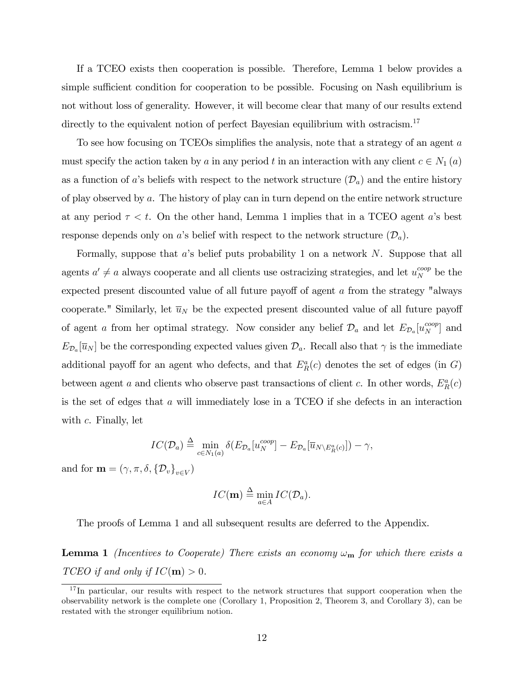If a TCEO exists then cooperation is possible. Therefore, Lemma 1 below provides a simple sufficient condition for cooperation to be possible. Focusing on Nash equilibrium is not without loss of generality. However, it will become clear that many of our results extend directly to the equivalent notion of perfect Bayesian equilibrium with ostracism.<sup>17</sup>

To see how focusing on TCEOs simplifies the analysis, note that a strategy of an agent  $a$ must specify the action taken by a in any period t in an interaction with any client  $c \in N_1(a)$ as a function of a's beliefs with respect to the network structure  $(\mathcal{D}_a)$  and the entire history of play observed by a. The history of play can in turn depend on the entire network structure at any period  $\tau < t$ . On the other hand, Lemma 1 implies that in a TCEO agent a's best response depends only on a's belief with respect to the network structure  $(\mathcal{D}_a)$ .

Formally, suppose that  $a$ 's belief puts probability 1 on a network N. Suppose that all agents  $a' \neq a$  always cooperate and all clients use ostracizing strategies, and let  $u_N^{coop}$  be the expected present discounted value of all future payoff of agent  $a$  from the strategy "always cooperate." Similarly, let  $\overline{u}_N$  be the expected present discounted value of all future payoff of agent a from her optimal strategy. Now consider any belief  $\mathcal{D}_a$  and let  $E_{\mathcal{D}_a}[u_N^{coop}]$  and  $E_{\mathcal{D}_a}[\overline{u}_N]$  be the corresponding expected values given  $\mathcal{D}_a$ . Recall also that  $\gamma$  is the immediate additional payoff for an agent who defects, and that  $E_R^a(c)$  denotes the set of edges (in G) between agent a and clients who observe past transactions of client c. In other words,  $E_R^a(c)$ is the set of edges that a will immediately lose in a TCEO if she defects in an interaction with  $c$ . Finally, let

$$
IC(\mathcal{D}_a) \stackrel{\Delta}{=} \min_{c \in N_1(a)} \delta(E_{\mathcal{D}_a}[u_N^{coop}] - E_{\mathcal{D}_a}[\overline{u}_{N \setminus E_R^a(c)}]) - \gamma,
$$

and for  $\mathbf{m} = (\gamma, \pi, \delta, \{\mathcal{D}_v\}_{v \in V})$ 

$$
IC(\mathbf{m}) \stackrel{\Delta}{=} \min_{a \in A} IC(\mathcal{D}_a).
$$

The proofs of Lemma 1 and all subsequent results are deferred to the Appendix.

**Lemma 1** (Incentives to Cooperate) There exists an economy  $\omega_{\bf m}$  for which there exists a TCEO if and only if  $IC(m) > 0$ .

<sup>&</sup>lt;sup>17</sup>In particular, our results with respect to the network structures that support cooperation when the observability network is the complete one (Corollary 1, Proposition 2, Theorem 3, and Corollary 3), can be restated with the stronger equilibrium notion.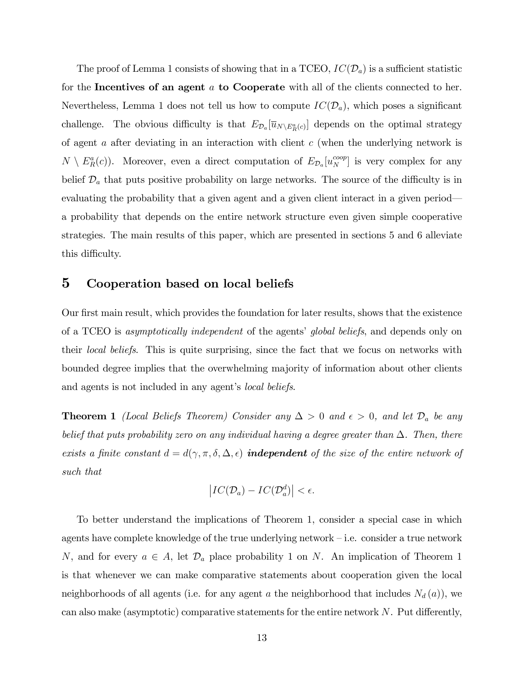The proof of Lemma 1 consists of showing that in a TCEO,  $IC(\mathcal{D}_a)$  is a sufficient statistic for the Incentives of an agent  $\alpha$  to Cooperate with all of the clients connected to her. Nevertheless, Lemma 1 does not tell us how to compute  $IC(\mathcal{D}_a)$ , which poses a significant challenge. The obvious difficulty is that  $E_{\mathcal{D}_a}[\overline{u}_{N\setminus E_R^a(c)}]$  depends on the optimal strategy of agent a after deviating in an interaction with client  $c$  (when the underlying network is  $N \setminus E_R^a(c)$ ). Moreover, even a direct computation of  $E_{\mathcal{D}_a}[u_N^{coop}]$  is very complex for any belief  $\mathcal{D}_a$  that puts positive probability on large networks. The source of the difficulty is in evaluating the probability that a given agent and a given client interact in a given period a probability that depends on the entire network structure even given simple cooperative strategies. The main results of this paper, which are presented in sections 5 and 6 alleviate this difficulty.

## 5 Cooperation based on local beliefs

Our first main result, which provides the foundation for later results, shows that the existence of a TCEO is *asymptotically independent* of the agents' *global beliefs*, and depends only on their local beliefs. This is quite surprising, since the fact that we focus on networks with bounded degree implies that the overwhelming majority of information about other clients and agents is not included in any agent's *local beliefs*.

**Theorem 1** (Local Beliefs Theorem) Consider any  $\Delta > 0$  and  $\epsilon > 0$ , and let  $\mathcal{D}_a$  be any belief that puts probability zero on any individual having a degree greater than  $\Delta$ . Then, there exists a finite constant  $d = d(\gamma, \pi, \delta, \Delta, \epsilon)$  **independent** of the size of the entire network of such that

$$
\left| IC(\mathcal{D}_a) - IC(\mathcal{D}_a^d) \right| < \epsilon.
$$

To better understand the implications of Theorem 1, consider a special case in which agents have complete knowledge of the true underlying network  $-i.e.$  consider a true network N, and for every  $a \in A$ , let  $\mathcal{D}_a$  place probability 1 on N. An implication of Theorem 1 is that whenever we can make comparative statements about cooperation given the local neighborhoods of all agents (i.e. for any agent a the neighborhood that includes  $N_d(a)$ ), we can also make (asymptotic) comparative statements for the entire network  $N$ . Put differently,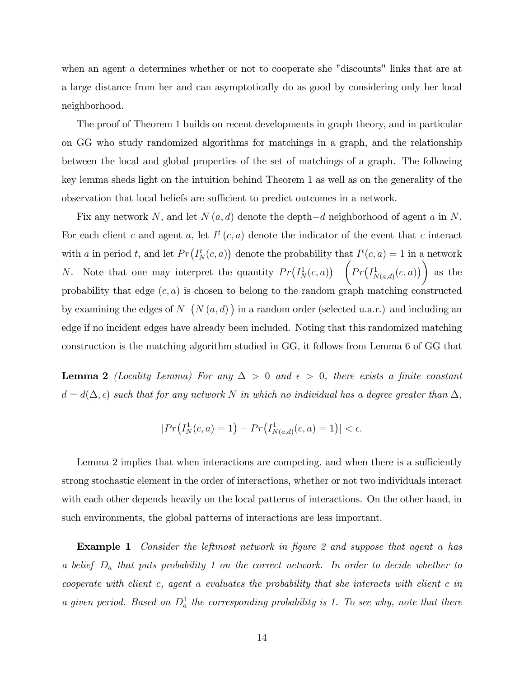when an agent a determines whether or not to cooperate she "discounts" links that are at a large distance from her and can asymptotically do as good by considering only her local neighborhood.

The proof of Theorem 1 builds on recent developments in graph theory, and in particular on GG who study randomized algorithms for matchings in a graph, and the relationship between the local and global properties of the set of matchings of a graph. The following key lemma sheds light on the intuition behind Theorem 1 as well as on the generality of the observation that local beliefs are sufficient to predict outcomes in a network.

Fix any network N, and let  $N(a, d)$  denote the depth $-d$  neighborhood of agent a in N. For each client c and agent a, let  $I^t(c, a)$  denote the indicator of the event that c interact with a in period t, and let  $Pr(I^t_N(c, a))$  denote the probability that  $I^t(c, a) = 1$  in a network *N*. Note that one may interpret the quantity  $Pr(I_N^1(c, a))$   $(Pr(I_{N(a,d)}^1(c, a)))$ as the probability that edge  $(c, a)$  is chosen to belong to the random graph matching constructed by examining the edges of  $N$   $(N(a, d))$  in a random order (selected u.a.r.) and including an edge if no incident edges have already been included. Noting that this randomized matching construction is the matching algorithm studied in GG, it follows from Lemma 6 of GG that

**Lemma 2** (Locality Lemma) For any  $\Delta > 0$  and  $\epsilon > 0$ , there exists a finite constant  $d = d(\Delta, \epsilon)$  such that for any network N in which no individual has a degree greater than  $\Delta$ ,

$$
|Pr(I^1_N(c,a) = 1) - Pr(I^1_{N(a,d)}(c,a) = 1)| < \epsilon.
$$

Lemma 2 implies that when interactions are competing, and when there is a sufficiently strong stochastic element in the order of interactions, whether or not two individuals interact with each other depends heavily on the local patterns of interactions. On the other hand, in such environments, the global patterns of interactions are less important.

**Example 1** Consider the leftmost network in figure 2 and suppose that agent a has a belief  $D_a$  that puts probability 1 on the correct network. In order to decide whether to cooperate with client c, agent a evaluates the probability that she interacts with client c in a given period. Based on  $D_a^1$  the corresponding probability is 1. To see why, note that there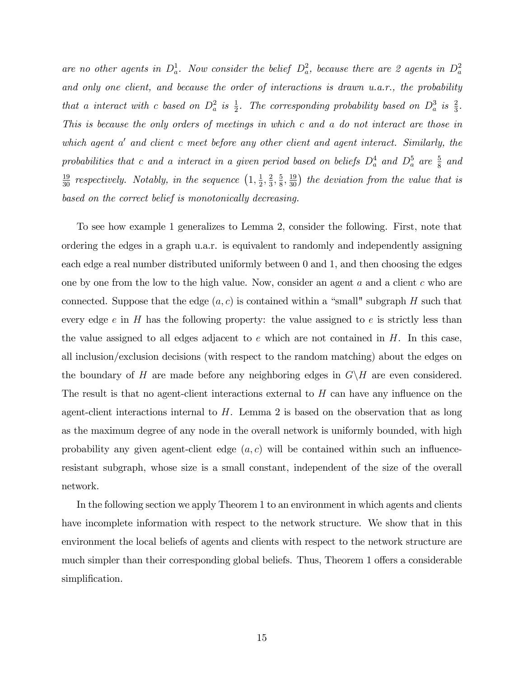are no other agents in  $D_a^1$ . Now consider the belief  $D_a^2$ , because there are 2 agents in  $D_a^2$ and only one client, and because the order of interactions is drawn u.a.r., the probability that a interact with c based on  $D_a^2$  is  $\frac{1}{2}$ . The corresponding probability based on  $D_a^3$  is  $\frac{2}{3}$ . This is because the only orders of meetings in which c and a do not interact are those in which agent a' and client c meet before any other client and agent interact. Similarly, the probabilities that c and a interact in a given period based on beliefs  $D_a^4$  and  $D_a^5$  are  $\frac{5}{8}$  and  $\frac{19}{30}$  respectively. Notably, in the sequence  $\left(1, \frac{1}{2}\right)$  $\frac{1}{2}, \frac{2}{3}$  $\frac{2}{3}, \frac{5}{8}$  $\frac{5}{8}, \frac{19}{30}$  the deviation from the value that is based on the correct belief is monotonically decreasing.

To see how example 1 generalizes to Lemma 2, consider the following. First, note that ordering the edges in a graph u.a.r. is equivalent to randomly and independently assigning each edge a real number distributed uniformly between 0 and 1, and then choosing the edges one by one from the low to the high value. Now, consider an agent  $a$  and a client  $c$  who are connected. Suppose that the edge  $(a, c)$  is contained within a "small" subgraph H such that every edge  $e$  in H has the following property: the value assigned to  $e$  is strictly less than the value assigned to all edges adjacent to  $e$  which are not contained in  $H$ . In this case, all inclusion/exclusion decisions (with respect to the random matching) about the edges on the boundary of H are made before any neighboring edges in  $G\backslash H$  are even considered. The result is that no agent-client interactions external to  $H$  can have any influence on the agent-client interactions internal to  $H$ . Lemma 2 is based on the observation that as long as the maximum degree of any node in the overall network is uniformly bounded, with high probability any given agent-client edge  $(a, c)$  will be contained within such an influenceresistant subgraph, whose size is a small constant, independent of the size of the overall network.

In the following section we apply Theorem 1 to an environment in which agents and clients have incomplete information with respect to the network structure. We show that in this environment the local beliefs of agents and clients with respect to the network structure are much simpler than their corresponding global beliefs. Thus, Theorem 1 offers a considerable simplification.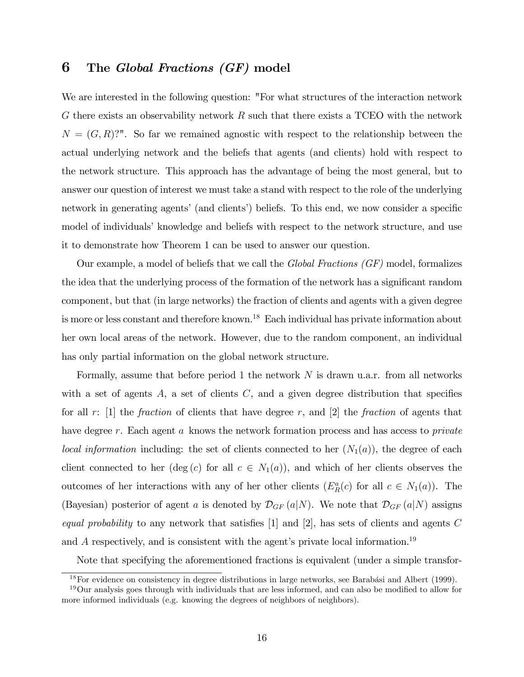## 6 The Global Fractions (GF) model

We are interested in the following question: "For what structures of the interaction network G there exists an observability network  $R$  such that there exists a TCEO with the network  $N = (G, R)$ ?". So far we remained agnostic with respect to the relationship between the actual underlying network and the beliefs that agents (and clients) hold with respect to the network structure. This approach has the advantage of being the most general, but to answer our question of interest we must take a stand with respect to the role of the underlying network in generating agents' (and clients') beliefs. To this end, we now consider a specific model of individuals' knowledge and beliefs with respect to the network structure, and use it to demonstrate how Theorem 1 can be used to answer our question.

Our example, a model of beliefs that we call the *Global Fractions*  $(GF)$  model, formalizes the idea that the underlying process of the formation of the network has a significant random component, but that (in large networks) the fraction of clients and agents with a given degree is more or less constant and therefore known.<sup>18</sup> Each individual has private information about her own local areas of the network. However, due to the random component, an individual has only partial information on the global network structure.

Formally, assume that before period 1 the network  $N$  is drawn u.a.r. from all networks with a set of agents  $A$ , a set of clients  $C$ , and a given degree distribution that specifies for all  $r: [1]$  the *fraction* of clients that have degree  $r$ , and  $[2]$  the *fraction* of agents that have degree r. Each agent a knows the network formation process and has access to *private* local information including: the set of clients connected to her  $(N_1(a))$ , the degree of each client connected to her  $(\deg(c)$  for all  $c \in N_1(a)$ , and which of her clients observes the outcomes of her interactions with any of her other clients  $(E_R^a(c)$  for all  $c \in N_1(a)$ ). The (Bayesian) posterior of agent a is denoted by  $\mathcal{D}_{GF}(a|N)$ . We note that  $\mathcal{D}_{GF}(a|N)$  assigns equal probability to any network that satisfies  $[1]$  and  $[2]$ , has sets of clients and agents C and  $A$  respectively, and is consistent with the agent's private local information.<sup>19</sup>

Note that specifying the aforementioned fractions is equivalent (under a simple transfor-

 $18$ For evidence on consistency in degree distributions in large networks, see Barabási and Albert (1999).

 $19$ Our analysis goes through with individuals that are less informed, and can also be modified to allow for more informed individuals (e.g. knowing the degrees of neighbors of neighbors).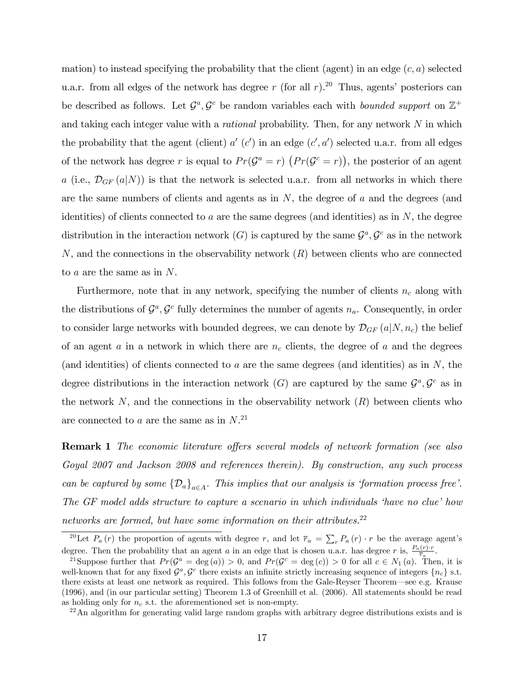mation) to instead specifying the probability that the client (agent) in an edge  $(c, a)$  selected u.a.r. from all edges of the network has degree r (for all r).<sup>20</sup> Thus, agents' posteriors can be described as follows. Let  $\mathcal{G}^a, \mathcal{G}^c$  be random variables each with *bounded support* on  $\mathbb{Z}^+$ and taking each integer value with a *rational* probability. Then, for any network  $N$  in which the probability that the agent (client)  $a'$  (c') in an edge  $(c', a')$  selected u.a.r. from all edges of the network has degree r is equal to  $Pr(\mathcal{G}^a = r)$   $(Pr(\mathcal{G}^c = r))$ , the posterior of an agent a (i.e.,  $\mathcal{D}_{GF}(a|N)$ ) is that the network is selected u.a.r. from all networks in which there are the same numbers of clients and agents as in  $N$ , the degree of  $a$  and the degrees (and identities) of clients connected to a are the same degrees (and identities) as in  $N$ , the degree distribution in the interaction network  $(G)$  is captured by the same  $\mathcal{G}^a, \mathcal{G}^c$  as in the network  $N$ , and the connections in the observability network  $(R)$  between clients who are connected to a are the same as in N.

Furthermore, note that in any network, specifying the number of clients  $n_c$  along with the distributions of  $\mathcal{G}^a, \mathcal{G}^c$  fully determines the number of agents  $n_a$ . Consequently, in order to consider large networks with bounded degrees, we can denote by  $\mathcal{D}_{GF}(a|N,n_c)$  the belief of an agent a in a network in which there are  $n_c$  clients, the degree of a and the degrees (and identities) of clients connected to a are the same degrees (and identities) as in  $N$ , the degree distributions in the interaction network  $(G)$  are captured by the same  $\mathcal{G}^a, \mathcal{G}^c$  as in the network  $N$ , and the connections in the observability network  $(R)$  between clients who are connected to  $a$  are the same as in  $N$ .<sup>21</sup>

**Remark 1** The economic literature offers several models of network formation (see also Goyal 2007 and Jackson 2008 and references therein). By construction, any such process can be captured by some  $\{\mathcal{D}_a\}_{a \in A}$ . This implies that our analysis is 'formation process free'. The GF model adds structure to capture a scenario in which individuals 'have no clue' how networks are formed, but have some information on their attributes. $22$ 

<sup>&</sup>lt;sup>20</sup>Let  $P_a(r)$  the proportion of agents with degree r, and let  $\overline{r}_a = \sum_r P_a(r) \cdot r$  be the average agent's degree. Then the probability that an agent a in an edge that is chosen u.a.r. has degree r is,  $\frac{P_a(r) \cdot r}{\overline{r}_a}$ .

<sup>&</sup>lt;sup>21</sup>Suppose further that  $Pr(\mathcal{G}^a = \text{deg}(a)) > 0$ , and  $Pr(\mathcal{G}^c = \text{deg}(c)) > 0$  for all  $c \in N_1(a)$ . Then, it is well-known that for any fixed  $\mathcal{G}^a$ ,  $\mathcal{G}^c$  there exists an infinite strictly increasing sequence of integers  $\{n_c\}$  s.t. there exists at least one network as required. This follows from the Gale-Reyser Theorem—see e.g. Krause (1996), and (in our particular setting) Theorem 1.3 of Greenhill et al. (2006). All statements should be read as holding only for  $n_c$  s.t. the aforementioned set is non-empty.

<sup>&</sup>lt;sup>22</sup>An algorithm for generating valid large random graphs with arbitrary degree distributions exists and is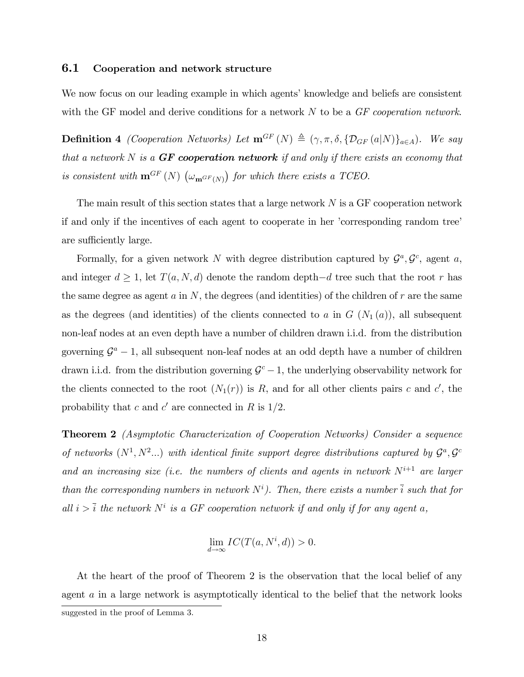#### 6.1 Cooperation and network structure

We now focus on our leading example in which agents' knowledge and beliefs are consistent with the GF model and derive conditions for a network  $N$  to be a  $GF$  cooperation network.

**Definition 4** (Cooperation Networks) Let  $\mathbf{m}^{GF}(N) \triangleq (\gamma, \pi, \delta, \{D_{GF}(a|N)\}_{a \in A})$ . We say that a network  $N$  is a  $GF$  cooperation network if and only if there exists an economy that is consistent with  $\mathbf{m}^{GF}(N)$   $(\omega_{\mathbf{m}^{GF}(N)})$  for which there exists a TCEO.

The main result of this section states that a large network  $N$  is a GF cooperation network if and only if the incentives of each agent to cooperate in her 'corresponding random tree' are sufficiently large.

Formally, for a given network N with degree distribution captured by  $\mathcal{G}^a, \mathcal{G}^c$ , agent a, and integer  $d \geq 1$ , let  $T(a, N, d)$  denote the random depth $-d$  tree such that the root r has the same degree as agent  $a$  in  $N$ , the degrees (and identities) of the children of  $r$  are the same as the degrees (and identities) of the clients connected to a in  $G(N_1(a))$ , all subsequent non-leaf nodes at an even depth have a number of children drawn i.i.d. from the distribution governing  $\mathcal{G}^a - 1$ , all subsequent non-leaf nodes at an odd depth have a number of children drawn i.i.d. from the distribution governing  $\mathcal{G}^c - 1$ , the underlying observability network for the clients connected to the root  $(N_1(r))$  is R, and for all other clients pairs c and c', the probability that c and c' are connected in R is  $1/2$ .

Theorem 2 (Asymptotic Characterization of Cooperation Networks) Consider a sequence of networks  $(N^1, N^2...)$  with identical finite support degree distributions captured by  $\mathcal{G}^a, \mathcal{G}^c$ and an increasing size (i.e. the numbers of clients and agents in network  $N^{i+1}$  are larger than the corresponding numbers in network  $N^i$ ). Then, there exists a number  $\overline{i}$  such that for all  $i > \overline{i}$  the network  $N^i$  is a GF cooperation network if and only if for any agent a,

$$
\lim_{d \to \infty} IC(T(a, N^i, d)) > 0.
$$

At the heart of the proof of Theorem 2 is the observation that the local belief of any agent a in a large network is asymptotically identical to the belief that the network looks suggested in the proof of Lemma 3.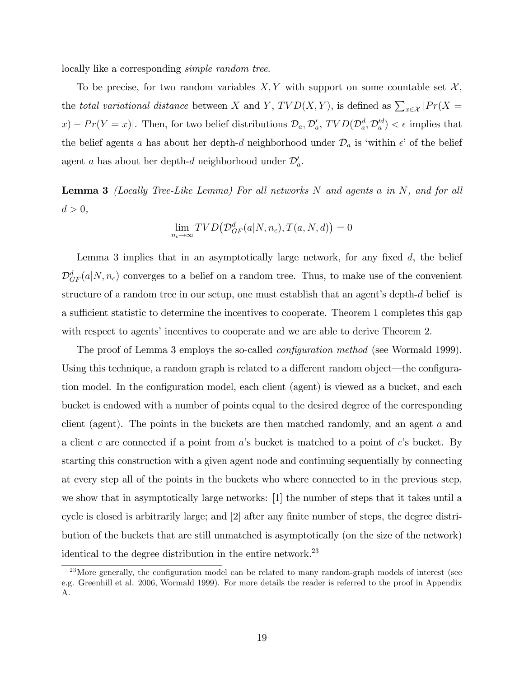locally like a corresponding simple random tree.

To be precise, for two random variables  $X, Y$  with support on some countable set  $\mathcal{X},$ the total variational distance between X and Y,  $TVD(X,Y)$ , is defined as  $\sum_{x\in\mathcal{X}}|Pr(X =$  $x) - Pr(Y = x)$ . Then, for two belief distributions  $\mathcal{D}_a$ ,  $\mathcal{D}'_a$ ,  $TVD(\mathcal{D}_a^d, \mathcal{D}'_a^d) < \epsilon$  implies that the belief agents a has about her depth-d neighborhood under  $\mathcal{D}_a$  is 'within  $\epsilon$ ' of the belief agent a has about her depth-d neighborhood under  $\mathcal{D}'_a$ .

**Lemma 3** (Locally Tree-Like Lemma) For all networks  $N$  and agents a in  $N$ , and for all  $d > 0$ ,

$$
\lim_{n_c \to \infty} TVD\big(\mathcal{D}_{GF}^d(a|N,n_c),T(a,N,d)\big) = 0
$$

Lemma 3 implies that in an asymptotically large network, for any fixed  $d$ , the belief  $\mathcal{D}_{GF}^{d}(a|N,n_c)$  converges to a belief on a random tree. Thus, to make use of the convenient structure of a random tree in our setup, one must establish that an agent's depth- $d$  belief is a sufficient statistic to determine the incentives to cooperate. Theorem 1 completes this gap with respect to agents' incentives to cooperate and we are able to derive Theorem 2.

The proof of Lemma 3 employs the so-called *configuration method* (see Wormald 1999). Using this technique, a random graph is related to a different random object—the configuration model. In the configuration model, each client (agent) is viewed as a bucket, and each bucket is endowed with a number of points equal to the desired degree of the corresponding client (agent). The points in the buckets are then matched randomly, and an agent a and a client c are connected if a point from  $a$ 's bucket is matched to a point of c's bucket. By starting this construction with a given agent node and continuing sequentially by connecting at every step all of the points in the buckets who where connected to in the previous step, we show that in asymptotically large networks: [1] the number of steps that it takes until a cycle is closed is arbitrarily large; and [2] after any finite number of steps, the degree distribution of the buckets that are still unmatched is asymptotically (on the size of the network) identical to the degree distribution in the entire network.<sup>23</sup>

<sup>&</sup>lt;sup>23</sup>More generally, the configuration model can be related to many random-graph models of interest (see e.g. Greenhill et al. 2006, Wormald 1999). For more details the reader is referred to the proof in Appendix A.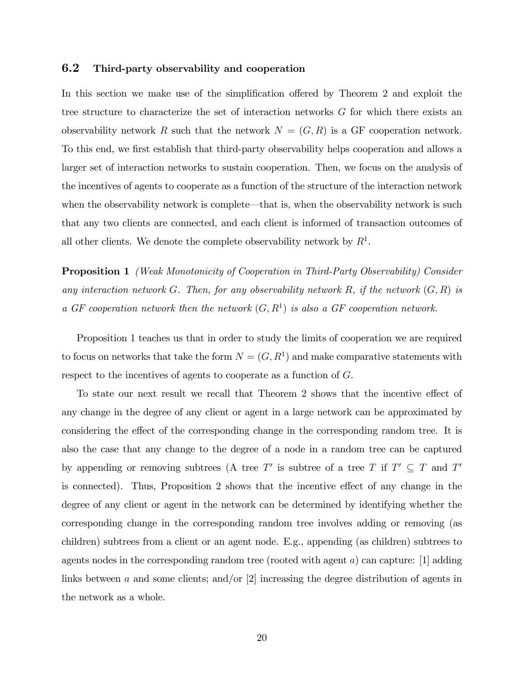#### 6.2 Third-party observability and cooperation

In this section we make use of the simplification offered by Theorem 2 and exploit the tree structure to characterize the set of interaction networks G for which there exists an observability network R such that the network  $N = (G, R)$  is a GF cooperation network. To this end, we first establish that third-party observability helps cooperation and allows a larger set of interaction networks to sustain cooperation. Then, we focus on the analysis of the incentives of agents to cooperate as a function of the structure of the interaction network when the observability network is complete—that is, when the observability network is such that any two clients are connected, and each client is informed of transaction outcomes of all other clients. We denote the complete observability network by  $R<sup>1</sup>$ .

**Proposition 1** (Weak Monotonicity of Cooperation in Third-Party Observability) Consider any interaction network G. Then, for any observability network R, if the network  $(G, R)$  is a GF cooperation network then the network  $(G, R<sup>1</sup>)$  is also a GF cooperation network.

Proposition 1 teaches us that in order to study the limits of cooperation we are required to focus on networks that take the form  $N = (G, R<sup>1</sup>)$  and make comparative statements with respect to the incentives of agents to cooperate as a function of G.

To state our next result we recall that Theorem 2 shows that the incentive effect of any change in the degree of any client or agent in a large network can be approximated by considering the effect of the corresponding change in the corresponding random tree. It is also the case that any change to the degree of a node in a random tree can be captured by appending or removing subtrees (A tree T' is subtree of a tree T if  $T' \subseteq T$  and T' is connected). Thus, Proposition 2 shows that the incentive effect of any change in the degree of any client or agent in the network can be determined by identifying whether the corresponding change in the corresponding random tree involves adding or removing (as children) subtrees from a client or an agent node. E.g., appending (as children) subtrees to agents nodes in the corresponding random tree (rooted with agent  $a$ ) can capture: [1] adding links between a and some clients; and/or  $[2]$  increasing the degree distribution of agents in the network as a whole.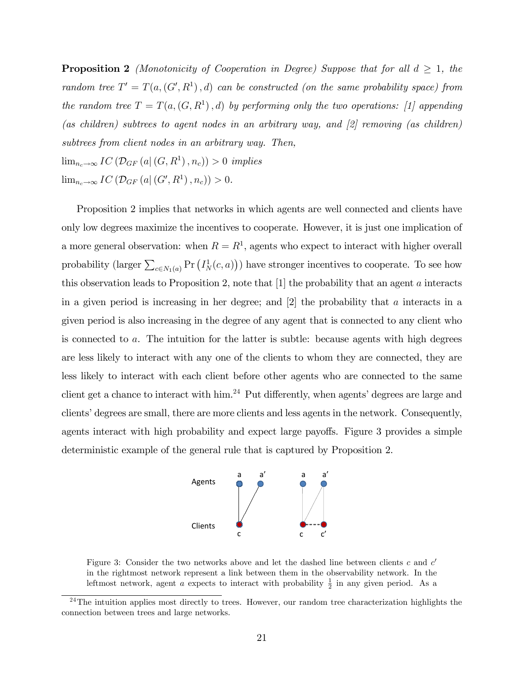**Proposition 2** (Monotonicity of Cooperation in Degree) Suppose that for all  $d \geq 1$ , the random tree  $T' = T(a, (G', R^1), d)$  can be constructed (on the same probability space) from the random tree  $T = T(a,(G,R<sup>1</sup>),d)$  by performing only the two operations: [1] appending (as children) subtrees to agent nodes in an arbitrary way, and [2] removing (as children) subtrees from client nodes in an arbitrary way. Then,  $\lim_{n_c \to \infty} IC\left(\mathcal{D}_{GF}\left(a\right|\left(G, R^1\right), n_c\right)) > 0 \implies$  $\lim_{n_c \to \infty} IC\left(\mathcal{D}_{GF}\left(a | (G', R^1), n_c\right)\right) > 0.$ 

Proposition 2 implies that networks in which agents are well connected and clients have only low degrees maximize the incentives to cooperate. However, it is just one implication of a more general observation: when  $R = R<sup>1</sup>$ , agents who expect to interact with higher overall probability (larger  $\sum_{c \in N_1(a)} Pr(T_N^1(c, a))$ ) have stronger incentives to cooperate. To see how this observation leads to Proposition 2, note that  $[1]$  the probability that an agent a interacts in a given period is increasing in her degree; and  $[2]$  the probability that a interacts in a given period is also increasing in the degree of any agent that is connected to any client who is connected to a. The intuition for the latter is subtle: because agents with high degrees are less likely to interact with any one of the clients to whom they are connected, they are less likely to interact with each client before other agents who are connected to the same client get a chance to interact with him.<sup>24</sup> Put differently, when agents' degrees are large and clients' degrees are small, there are more clients and less agents in the network. Consequently, agents interact with high probability and expect large payoffs. Figure 3 provides a simple deterministic example of the general rule that is captured by Proposition 2.



Figure 3: Consider the two networks above and let the dashed line between clients  $c$  and  $c'$ in the rightmost network represent a link between them in the observability network. In the leftmost network, agent a expects to interact with probability  $\frac{1}{2}$  in any given period. As a

 $24$ The intuition applies most directly to trees. However, our random tree characterization highlights the connection between trees and large networks.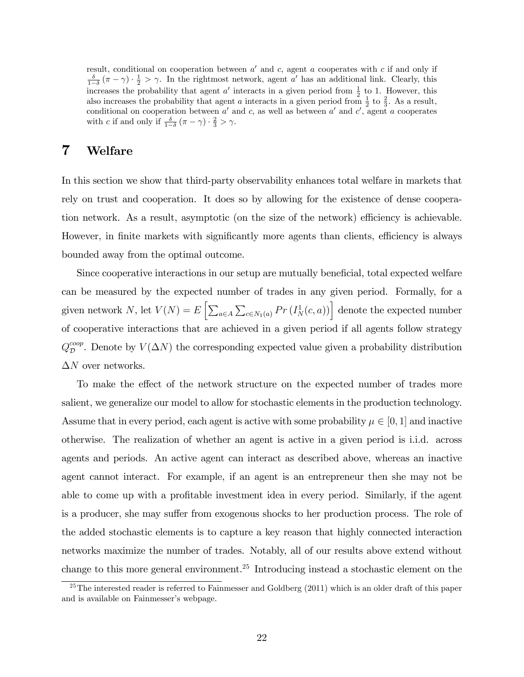result, conditional on cooperation between  $a'$  and  $c$ , agent a cooperates with c if and only if  $\frac{\delta}{1-\delta}(\pi-\gamma)\cdot\frac{1}{2}>\gamma$ . In the rightmost network, agent a' has an additional link. Clearly, this increases the probability that agent  $a'$  interacts in a given period from  $\frac{1}{2}$  to 1. However, this also increases the probability that agent a interacts in a given period from  $\frac{1}{2}$  to  $\frac{2}{3}$ . As a result, conditional on cooperation between  $a'$  and c, as well as between  $a'$  and  $c'$ , agent a cooperates with c if and only if  $\frac{\delta}{1-\delta}(\pi-\gamma) \cdot \frac{2}{3} > \gamma$ .

## 7 Welfare

In this section we show that third-party observability enhances total welfare in markets that rely on trust and cooperation. It does so by allowing for the existence of dense cooperation network. As a result, asymptotic (on the size of the network) efficiency is achievable. However, in finite markets with significantly more agents than clients, efficiency is always bounded away from the optimal outcome.

Since cooperative interactions in our setup are mutually beneficial, total expected welfare can be measured by the expected number of trades in any given period. Formally, for a given network N, let  $V(N) = E\left[\sum_{a \in A} \sum_{c \in N_1(a)} Pr\left(I_N^1(c, a)\right)\right]$  denote the expected number of cooperative interactions that are achieved in a given period if all agents follow strategy  $Q_{\mathcal{D}}^{coop}$ . Denote by  $V(\Delta N)$  the corresponding expected value given a probability distribution  $\Delta N$  over networks.

To make the effect of the network structure on the expected number of trades more salient, we generalize our model to allow for stochastic elements in the production technology. Assume that in every period, each agent is active with some probability  $\mu \in [0, 1]$  and inactive otherwise. The realization of whether an agent is active in a given period is i.i.d. across agents and periods. An active agent can interact as described above, whereas an inactive agent cannot interact. For example, if an agent is an entrepreneur then she may not be able to come up with a profitable investment idea in every period. Similarly, if the agent is a producer, she may suffer from exogenous shocks to her production process. The role of the added stochastic elements is to capture a key reason that highly connected interaction networks maximize the number of trades. Notably, all of our results above extend without change to this more general environment.<sup>25</sup> Introducing instead a stochastic element on the

 $25$ The interested reader is referred to Fainmesser and Goldberg (2011) which is an older draft of this paper and is available on Fainmesser's webpage.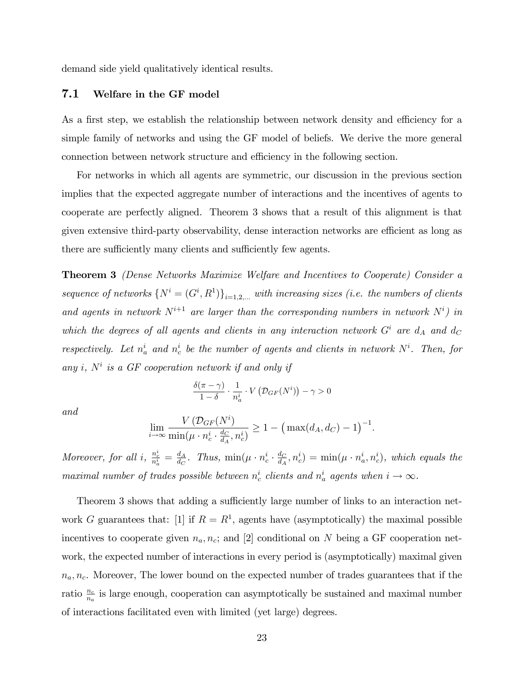demand side yield qualitatively identical results.

#### 7.1 Welfare in the GF model

As a first step, we establish the relationship between network density and efficiency for a simple family of networks and using the GF model of beliefs. We derive the more general connection between network structure and efficiency in the following section.

For networks in which all agents are symmetric, our discussion in the previous section implies that the expected aggregate number of interactions and the incentives of agents to cooperate are perfectly aligned. Theorem 3 shows that a result of this alignment is that given extensive third-party observability, dense interaction networks are efficient as long as there are sufficiently many clients and sufficiently few agents.

Theorem 3 (Dense Networks Maximize Welfare and Incentives to Cooperate) Consider a sequence of networks  $\{N^i=(G^i,R^1)\}_{i=1,2,...}$  with increasing sizes (i.e. the numbers of clients and agents in network  $N^{i+1}$  are larger than the corresponding numbers in network  $N^i$ ) in which the degrees of all agents and clients in any interaction network  $G^i$  are  $d_A$  and  $d_C$ respectively. Let  $n_a^i$  and  $n_c^i$  be the number of agents and clients in network  $N^i$ . Then, for any i,  $N^i$  is a GF cooperation network if and only if

$$
\frac{\delta(\pi-\gamma)}{1-\delta}\cdot\frac{1}{n_a^i}\cdot V\left(\mathcal{D}_{GF}(N^i)\right)-\gamma>0
$$

and

$$
\lim_{i \to \infty} \frac{V\left(\mathcal{D}_{GF}(N^{i})\right)}{\min(\mu \cdot n_c^{i} \cdot \frac{d_C}{d_A}, n_c^{i})} \ge 1 - \left(\max(d_A, d_C) - 1\right)^{-1}.
$$

Moreover, for all i,  $\frac{n_c^i}{n_a^i} = \frac{d_A}{d_C}$  $\frac{d_A}{d_C}$ . Thus, min( $\mu \cdot n_c^i \cdot \frac{d_C}{d_A}$  $\frac{d_C}{d_A}, n_c^i) = \min(\mu \cdot n_a^i, n_c^i), \text{ which equals the }$ maximal number of trades possible between  $n_c^i$  clients and  $n_a^i$  agents when  $i \to \infty$ .

Theorem 3 shows that adding a sufficiently large number of links to an interaction network G guarantees that: [1] if  $R = R<sup>1</sup>$ , agents have (asymptotically) the maximal possible incentives to cooperate given  $n_a, n_c$ ; and [2] conditional on N being a GF cooperation network, the expected number of interactions in every period is (asymptotically) maximal given  $n_a, n_c$ . Moreover, The lower bound on the expected number of trades guarantees that if the ratio  $\frac{n_c}{n_a}$  is large enough, cooperation can asymptotically be sustained and maximal number of interactions facilitated even with limited (yet large) degrees.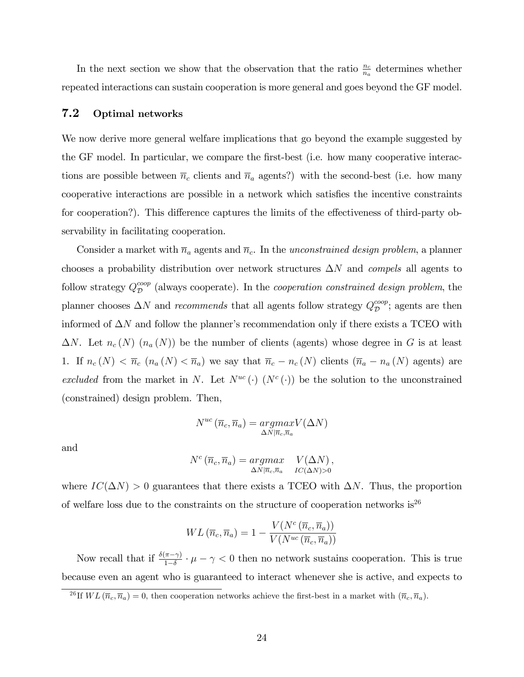In the next section we show that the observation that the ratio  $\frac{n_c}{n_a}$  determines whether repeated interactions can sustain cooperation is more general and goes beyond the GF model.

#### 7.2 Optimal networks

We now derive more general welfare implications that go beyond the example suggested by the GF model. In particular, we compare the first-best (i.e. how many cooperative interactions are possible between  $\bar{n}_c$  clients and  $\bar{n}_a$  agents?) with the second-best (i.e. how many cooperative interactions are possible in a network which satisfies the incentive constraints for cooperation?). This difference captures the limits of the effectiveness of third-party observability in facilitating cooperation.

Consider a market with  $\bar{n}_a$  agents and  $\bar{n}_c$ . In the unconstrained design problem, a planner chooses a probability distribution over network structures  $\Delta N$  and *compels* all agents to follow strategy  $Q_{\mathcal{D}}^{coop}$  (always cooperate). In the *cooperation constrained design problem*, the planner chooses  $\Delta N$  and *recommends* that all agents follow strategy  $Q_{\mathcal{D}}^{coop}$ ; agents are then informed of  $\Delta N$  and follow the planner's recommendation only if there exists a TCEO with  $\Delta N$ . Let  $n_c(N)$   $(n_a(N))$  be the number of clients (agents) whose degree in G is at least 1. If  $n_c(N) < \overline{n}_c$   $(n_a(N) < \overline{n}_a)$  we say that  $\overline{n}_c - n_c(N)$  clients  $(\overline{n}_a - n_a(N))$  agents) are excluded from the market in N. Let  $N^{uc}(\cdot)$  ( $N^{c}(\cdot)$ ) be the solution to the unconstrained (constrained) design problem. Then,

$$
N^{uc}(\overline{n}_c, \overline{n}_a) = \underset{\Delta N|\overline{n}_c, \overline{n}_a}{argmax} V(\Delta N)
$$

and

$$
N^{c}(\overline{n}_{c},\overline{n}_{a}) = \underset{\Delta N|\overline{n}_{c},\overline{n}_{a}}{argmax} \quad V(\Delta N),
$$
  

$$
V(\Delta N)^{2}
$$

N

where  $IC(\Delta N) > 0$  guarantees that there exists a TCEO with  $\Delta N$ . Thus, the proportion of welfare loss due to the constraints on the structure of cooperation networks is  $2^6$ 

$$
WL\left(\overline{n}_c, \overline{n}_a\right) = 1 - \frac{V(N^c\left(\overline{n}_c, \overline{n}_a\right))}{V(N^{uc}\left(\overline{n}_c, \overline{n}_a\right))}
$$

Now recall that if  $\frac{\delta(\pi-\gamma)}{1-\delta} \cdot \mu - \gamma < 0$  then no network sustains cooperation. This is true because even an agent who is guaranteed to interact whenever she is active, and expects to

<sup>&</sup>lt;sup>26</sup>If  $WL(\overline{n}_c, \overline{n}_a) = 0$ , then cooperation networks achieve the first-best in a market with  $(\overline{n}_c, \overline{n}_a)$ .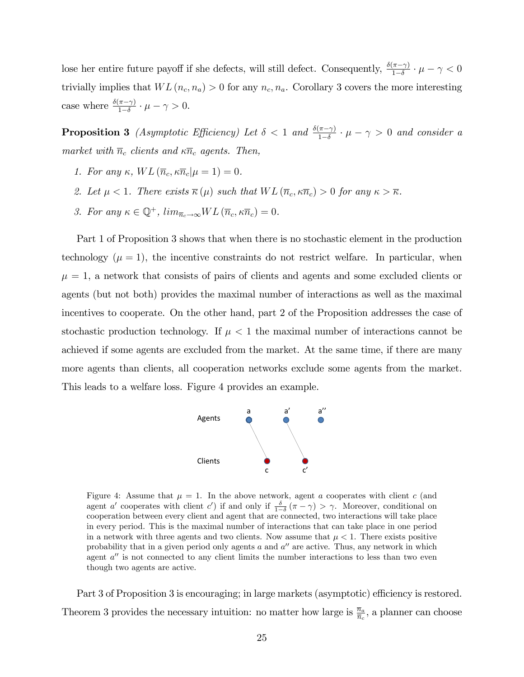lose her entire future payoff if she defects, will still defect. Consequently,  $\frac{\delta(\pi - \gamma)}{1 - \delta} \cdot \mu - \gamma < 0$ trivially implies that  $WL(n_c, n_a) > 0$  for any  $n_c, n_a$ . Corollary 3 covers the more interesting case where  $\frac{\delta(\pi-\gamma)}{1-\delta} \cdot \mu - \gamma > 0$ .

**Proposition 3** (Asymptotic Efficiency) Let  $\delta < 1$  and  $\frac{\delta(\pi - \gamma)}{1 - \delta} \cdot \mu - \gamma > 0$  and consider a market with  $\overline{n}_c$  clients and  $\kappa \overline{n}_c$  agents. Then,

- 1. For any  $\kappa$ ,  $WL(\overline{n}_c, \kappa \overline{n}_c | \mu = 1) = 0$ .
- 2. Let  $\mu < 1$ . There exists  $\overline{\kappa}(\mu)$  such that  $WL(\overline{n}_c, \kappa \overline{n}_c) > 0$  for any  $\kappa > \overline{\kappa}$ .
- 3. For any  $\kappa \in \mathbb{Q}^+$ ,  $\lim_{\overline{n}_c \to \infty} WL(\overline{n}_c, \kappa \overline{n}_c) = 0.$

Part 1 of Proposition 3 shows that when there is no stochastic element in the production technology  $(\mu = 1)$ , the incentive constraints do not restrict welfare. In particular, when  $\mu = 1$ , a network that consists of pairs of clients and agents and some excluded clients or agents (but not both) provides the maximal number of interactions as well as the maximal incentives to cooperate. On the other hand, part 2 of the Proposition addresses the case of stochastic production technology. If  $\mu < 1$  the maximal number of interactions cannot be achieved if some agents are excluded from the market. At the same time, if there are many more agents than clients, all cooperation networks exclude some agents from the market. This leads to a welfare loss. Figure 4 provides an example.



Figure 4: Assume that  $\mu = 1$ . In the above network, agent a cooperates with client c (and agent a' cooperates with client c') if and only if  $\frac{\delta}{1-\delta}(\pi-\gamma) > \gamma$ . Moreover, conditional on cooperation between every client and agent that are connected, two interactions will take place in every period. This is the maximal number of interactions that can take place in one period in a network with three agents and two clients. Now assume that  $\mu < 1$ . There exists positive probability that in a given period only agents  $a$  and  $a''$  are active. Thus, any network in which agent  $a''$  is not connected to any client limits the number interactions to less than two even though two agents are active.

Part 3 of Proposition 3 is encouraging; in large markets (asymptotic) efficiency is restored. Theorem 3 provides the necessary intuition: no matter how large is  $\frac{\bar{n}_a}{\bar{n}_c}$ , a planner can choose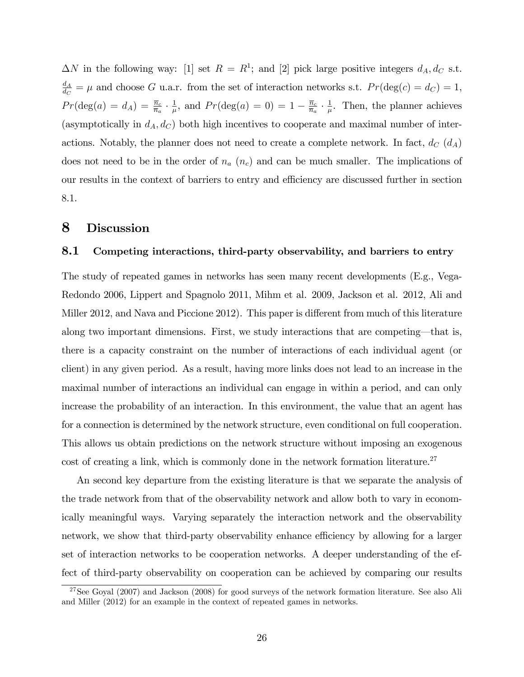$\Delta N$  in the following way: [1] set  $R = R<sup>1</sup>$ ; and [2] pick large positive integers  $d_A, d_C$  s.t.  $\frac{d_A}{}$  $\frac{dA}{dc} = \mu$  and choose G u.a.r. from the set of interaction networks s.t.  $Pr(\text{deg}(c) = d_C) = 1$ ,  $Pr(\deg(a) = d_A) = \frac{\overline{n}_c}{\overline{n}_a} \cdot \frac{1}{\mu}$  $\frac{1}{\mu}$ , and  $Pr(\text{deg}(a) = 0) = 1 - \frac{\overline{n}_c}{\overline{n}_a}$  $\frac{\overline{n}_c}{\overline{n}_a} \cdot \frac{1}{\mu}$  $\frac{1}{\mu}$ . Then, the planner achieves (asymptotically in  $d_A, d_C$ ) both high incentives to cooperate and maximal number of interactions. Notably, the planner does not need to create a complete network. In fact,  $d_C(d_A)$ does not need to be in the order of  $n_a$   $(n_c)$  and can be much smaller. The implications of our results in the context of barriers to entry and efficiency are discussed further in section 8.1.

## 8 Discussion

#### 8.1 Competing interactions, third-party observability, and barriers to entry

The study of repeated games in networks has seen many recent developments (E.g., Vega-Redondo 2006, Lippert and Spagnolo 2011, Mihm et al. 2009, Jackson et al. 2012, Ali and Miller 2012, and Nava and Piccione 2012). This paper is different from much of this literature along two important dimensions. First, we study interactions that are competing—that is, there is a capacity constraint on the number of interactions of each individual agent (or client) in any given period. As a result, having more links does not lead to an increase in the maximal number of interactions an individual can engage in within a period, and can only increase the probability of an interaction. In this environment, the value that an agent has for a connection is determined by the network structure, even conditional on full cooperation. This allows us obtain predictions on the network structure without imposing an exogenous cost of creating a link, which is commonly done in the network formation literature.<sup>27</sup>

An second key departure from the existing literature is that we separate the analysis of the trade network from that of the observability network and allow both to vary in economically meaningful ways. Varying separately the interaction network and the observability network, we show that third-party observability enhance efficiency by allowing for a larger set of interaction networks to be cooperation networks. A deeper understanding of the effect of third-party observability on cooperation can be achieved by comparing our results

 $27$ See Goyal (2007) and Jackson (2008) for good surveys of the network formation literature. See also Ali and Miller (2012) for an example in the context of repeated games in networks.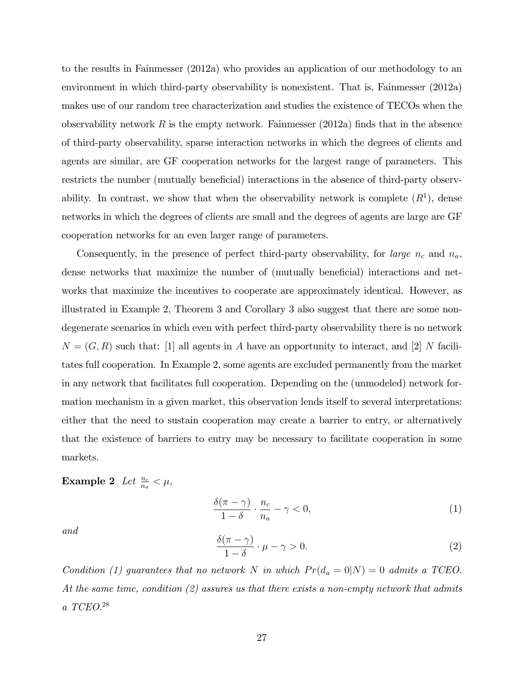to the results in Fainmesser (2012a) who provides an application of our methodology to an environment in which third-party observability is nonexistent. That is, Fainmesser (2012a) makes use of our random tree characterization and studies the existence of TECOs when the observability network R is the empty network. Fainmesser  $(2012a)$  finds that in the absence of third-party observability, sparse interaction networks in which the degrees of clients and agents are similar, are GF cooperation networks for the largest range of parameters. This restricts the number (mutually beneficial) interactions in the absence of third-party observability. In contrast, we show that when the observability network is complete  $(R<sup>1</sup>)$ , dense networks in which the degrees of clients are small and the degrees of agents are large are GF cooperation networks for an even larger range of parameters.

Consequently, in the presence of perfect third-party observability, for *large*  $n_c$  and  $n_a$ , dense networks that maximize the number of (mutually beneficial) interactions and networks that maximize the incentives to cooperate are approximately identical. However, as illustrated in Example 2, Theorem 3 and Corollary 3 also suggest that there are some nondegenerate scenarios in which even with perfect third-party observability there is no network  $N = (G, R)$  such that: [1] all agents in A have an opportunity to interact, and [2] N facilitates full cooperation. In Example 2, some agents are excluded permanently from the market in any network that facilitates full cooperation. Depending on the (unmodeled) network formation mechanism in a given market, this observation lends itself to several interpretations: either that the need to sustain cooperation may create a barrier to entry, or alternatively that the existence of barriers to entry may be necessary to facilitate cooperation in some markets.

# Example 2 Let  $\frac{n_c}{n_a} < \mu$ ,

$$
\frac{\delta(\pi-\gamma)}{1-\delta} \cdot \frac{n_c}{n_a} - \gamma < 0,\tag{1}
$$

and

$$
\frac{\delta(\pi - \gamma)}{1 - \delta} \cdot \mu - \gamma > 0. \tag{2}
$$

Condition (1) guarantees that no network N in which  $Pr(d_a = 0|N) = 0$  admits a TCEO. At the same time, condition (2) assures us that there exists a non-empty network that admits a TCEO.<sup>28</sup>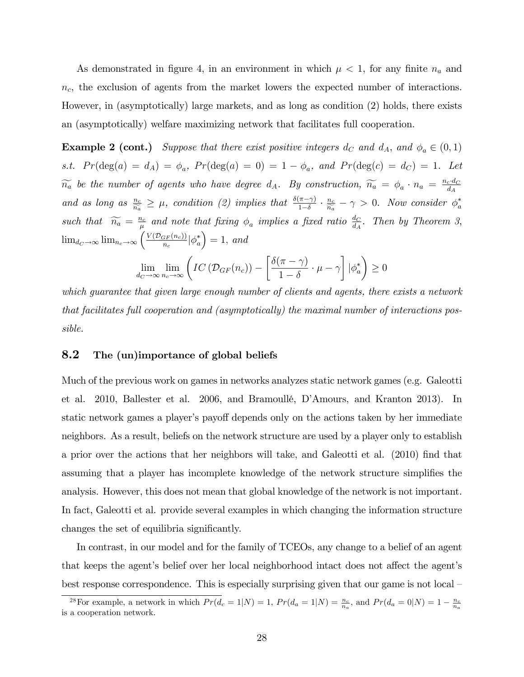As demonstrated in figure 4, in an environment in which  $\mu < 1$ , for any finite  $n_a$  and  $n_c$ , the exclusion of agents from the market lowers the expected number of interactions. However, in (asymptotically) large markets, and as long as condition (2) holds, there exists an (asymptotically) welfare maximizing network that facilitates full cooperation.

**Example 2 (cont.)** Suppose that there exist positive integers  $d_C$  and  $d_A$ , and  $\phi_a \in (0,1)$ s.t.  $Pr(\deg(a) = d_A) = \phi_a$ ,  $Pr(\deg(a) = 0) = 1 - \phi_a$ , and  $Pr(\deg(c) = d_C) = 1$ . Let  $\widetilde{n_a}$  be the number of agents who have degree  $d_A$ . By construction,  $\widetilde{n_a} = \phi_a \cdot n_a = \frac{n_c \cdot d_C}{d_A}$ and as long as  $\frac{n_c}{\widetilde{n_a}} \geq \mu$ , condition (2) implies that  $\frac{\delta(\pi-\gamma)}{1-\delta} \cdot \frac{n_c}{\widetilde{n_a}}$  $\frac{n_c}{\widetilde{n_a}} - \gamma > 0$ . Now consider  $\phi_a^*$ such that  $\widetilde{n_a} = \frac{n_c}{\mu}$  $\frac{a_c}{\mu}$  and note that fixing  $\phi_a$  implies a fixed ratio  $\frac{d_C}{d_A}$ . Then by Theorem 3,  $\lim_{d_C \to \infty} \lim_{n_c \to \infty} \left( \frac{V(\mathcal{D}_{GF}(n_c))}{n_c} \big| \phi_a^* \right)$  $= 1$ , and  $\sqrt{ }$ 1  $\overline{ }$ 

$$
\lim_{d_C \to \infty} \lim_{n_c \to \infty} \left( IC\left( \mathcal{D}_{GF}(n_c) \right) - \left[ \frac{\delta(\pi - \gamma)}{1 - \delta} \cdot \mu - \gamma \right] \left| \phi_a^* \right| \ge 0
$$

which guarantee that given large enough number of clients and agents, there exists a network that facilitates full cooperation and (asymptotically) the maximal number of interactions possible.

### 8.2 The (un)importance of global beliefs

Much of the previous work on games in networks analyzes static network games (e.g. Galeotti et al. 2010, Ballester et al. 2006, and Bramoullé, D'Amours, and Kranton 2013). In static network games a player's payoff depends only on the actions taken by her immediate neighbors. As a result, beliefs on the network structure are used by a player only to establish a prior over the actions that her neighbors will take, and Galeotti et al. (2010) find that assuming that a player has incomplete knowledge of the network structure simplifies the analysis. However, this does not mean that global knowledge of the network is not important. In fact, Galeotti et al. provide several examples in which changing the information structure changes the set of equilibria significantly.

In contrast, in our model and for the family of TCEOs, any change to a belief of an agent that keeps the agent's belief over her local neighborhood intact does not affect the agent's best response correspondence. This is especially surprising given that our game is not local  $-$ 

<sup>&</sup>lt;sup>28</sup>For example, a network in which  $Pr(d_c = 1|N) = 1$ ,  $Pr(d_a = 1|N) = \frac{n_c}{n_a}$ , and  $Pr(d_a = 0|N) = 1 - \frac{n_c}{n_a}$ is a cooperation network.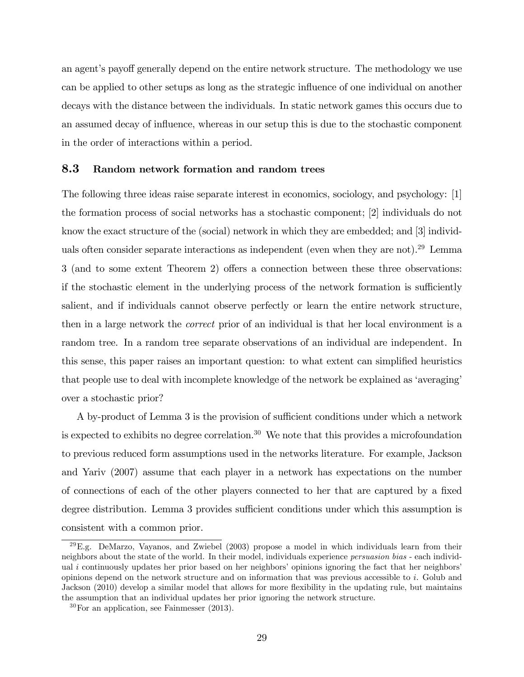an agent's payoff generally depend on the entire network structure. The methodology we use can be applied to other setups as long as the strategic influence of one individual on another decays with the distance between the individuals. In static network games this occurs due to an assumed decay of influence, whereas in our setup this is due to the stochastic component in the order of interactions within a period.

#### 8.3 Random network formation and random trees

The following three ideas raise separate interest in economics, sociology, and psychology: [1] the formation process of social networks has a stochastic component; [2] individuals do not know the exact structure of the (social) network in which they are embedded; and [3] individuals often consider separate interactions as independent (even when they are not).<sup>29</sup> Lemma  $3$  (and to some extent Theorem 2) offers a connection between these three observations: if the stochastic element in the underlying process of the network formation is sufficiently salient, and if individuals cannot observe perfectly or learn the entire network structure, then in a large network the correct prior of an individual is that her local environment is a random tree. In a random tree separate observations of an individual are independent. In this sense, this paper raises an important question: to what extent can simplified heuristics that people use to deal with incomplete knowledge of the network be explained as 'averaging' over a stochastic prior?

A by-product of Lemma 3 is the provision of sufficient conditions under which a network is expected to exhibits no degree correlation.<sup>30</sup> We note that this provides a microfoundation to previous reduced form assumptions used in the networks literature. For example, Jackson and Yariv (2007) assume that each player in a network has expectations on the number of connections of each of the other players connected to her that are captured by a fixed degree distribution. Lemma 3 provides sufficient conditions under which this assumption is consistent with a common prior.

 $^{29}$ E.g. DeMarzo, Vayanos, and Zwiebel (2003) propose a model in which individuals learn from their neighbors about the state of the world. In their model, individuals experience persuasion bias - each individual  $i$  continuously updates her prior based on her neighbors' opinions ignoring the fact that her neighbors' opinions depend on the network structure and on information that was previous accessible to i. Golub and Jackson (2010) develop a similar model that allows for more flexibility in the updating rule, but maintains the assumption that an individual updates her prior ignoring the network structure.

 $30$  For an application, see Fainmesser (2013).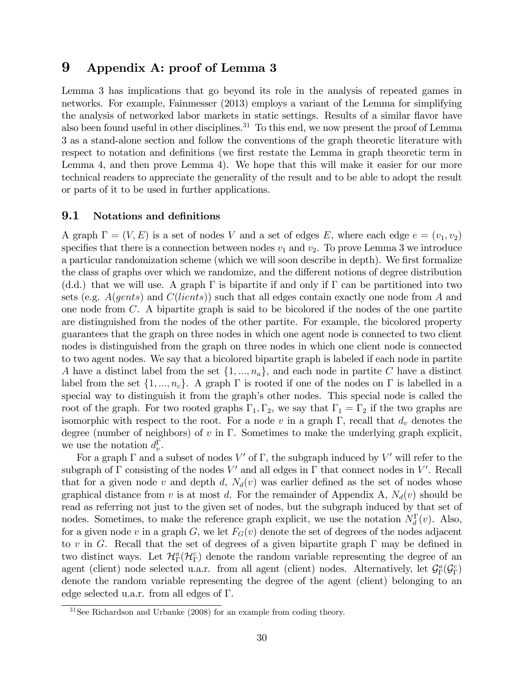## 9 Appendix A: proof of Lemma 3

Lemma 3 has implications that go beyond its role in the analysis of repeated games in networks. For example, Fainmesser (2013) employs a variant of the Lemma for simplifying the analysis of networked labor markets in static settings. Results of a similar flavor have also been found useful in other disciplines.<sup>31</sup> To this end, we now present the proof of Lemma 3 as a stand-alone section and follow the conventions of the graph theoretic literature with respect to notation and definitions (we first restate the Lemma in graph theoretic term in Lemma 4, and then prove Lemma 4). We hope that this will make it easier for our more technical readers to appreciate the generality of the result and to be able to adopt the result or parts of it to be used in further applications.

#### 9.1 Notations and definitions

A graph  $\Gamma = (V, E)$  is a set of nodes V and a set of edges E, where each edge  $e = (v_1, v_2)$ specifies that there is a connection between nodes  $v_1$  and  $v_2$ . To prove Lemma 3 we introduce a particular randomization scheme (which we will soon describe in depth). We first formalize the class of graphs over which we randomize, and the different notions of degree distribution (d.d.) that we will use. A graph  $\Gamma$  is bipartite if and only if  $\Gamma$  can be partitioned into two sets (e.g.  $A(qents)$  and  $C(lients)$ ) such that all edges contain exactly one node from A and one node from C. A bipartite graph is said to be bicolored if the nodes of the one partite are distinguished from the nodes of the other partite. For example, the bicolored property guarantees that the graph on three nodes in which one agent node is connected to two client nodes is distinguished from the graph on three nodes in which one client node is connected to two agent nodes. We say that a bicolored bipartite graph is labeled if each node in partite A have a distinct label from the set  $\{1, ..., n_a\}$ , and each node in partite C have a distinct label from the set  $\{1, ..., n_c\}$ . A graph  $\Gamma$  is rooted if one of the nodes on  $\Gamma$  is labelled in a special way to distinguish it from the graph's other nodes. This special node is called the root of the graph. For two rooted graphs  $\Gamma_1, \Gamma_2$ , we say that  $\Gamma_1 = \Gamma_2$  if the two graphs are isomorphic with respect to the root. For a node v in a graph  $\Gamma$ , recall that  $d_v$  denotes the degree (number of neighbors) of v in  $\Gamma$ . Sometimes to make the underlying graph explicit, we use the notation  $d_v^{\Gamma}$ .

For a graph  $\Gamma$  and a subset of nodes V' of  $\Gamma$ , the subgraph induced by V' will refer to the subgraph of  $\Gamma$  consisting of the nodes  $V'$  and all edges in  $\Gamma$  that connect nodes in  $V'$ . Recall that for a given node v and depth d,  $N_d(v)$  was earlier defined as the set of nodes whose graphical distance from v is at most d. For the remainder of Appendix A,  $N_d(v)$  should be read as referring not just to the given set of nodes, but the subgraph induced by that set of nodes. Sometimes, to make the reference graph explicit, we use the notation  $N_d^{\Gamma}(v)$ . Also, for a given node v in a graph G, we let  $F_G(v)$  denote the set of degrees of the nodes adjacent to v in G. Recall that the set of degrees of a given bipartite graph  $\Gamma$  may be defined in two distinct ways. Let  $\mathcal{H}_{\Gamma}^{a}(\mathcal{H}_{\Gamma}^{c})$  denote the random variable representing the degree of an agent (client) node selected u.a.r. from all agent (client) nodes. Alternatively, let  $\mathcal{G}_{\Gamma}^a(\mathcal{G}_{\Gamma}^c)$ denote the random variable representing the degree of the agent (client) belonging to an edge selected u.a.r. from all edges of  $\Gamma$ .

<sup>31</sup>See Richardson and Urbanke (2008) for an example from coding theory.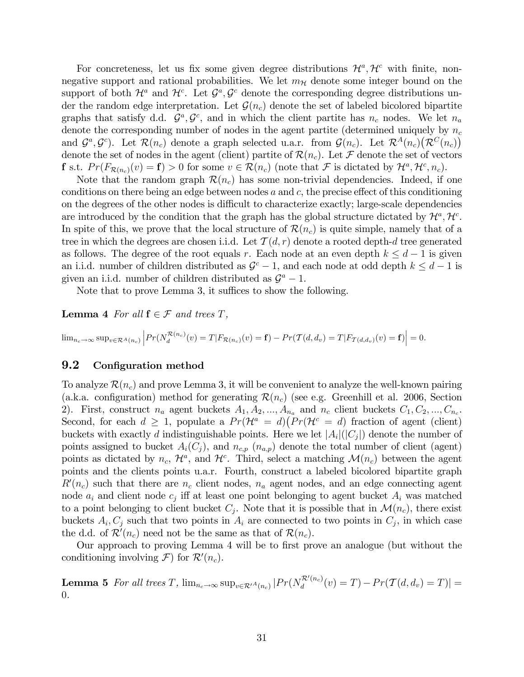For concreteness, let us fix some given degree distributions  $\mathcal{H}^a$ ,  $\mathcal{H}^c$  with finite, nonnegative support and rational probabilities. We let  $m<sub>H</sub>$  denote some integer bound on the support of both  $\mathcal{H}^a$  and  $\mathcal{H}^c$ . Let  $\mathcal{G}^a, \mathcal{G}^c$  denote the corresponding degree distributions under the random edge interpretation. Let  $\mathcal{G}(n_c)$  denote the set of labeled bicolored bipartite graphs that satisfy d.d.  $\mathcal{G}^a, \mathcal{G}^c$ , and in which the client partite has  $n_c$  nodes. We let  $n_a$ denote the corresponding number of nodes in the agent partite (determined uniquely by  $n_c$ and  $\mathcal{G}^a, \mathcal{G}^c$ ). Let  $\mathcal{R}(n_c)$  denote a graph selected u.a.r. from  $\mathcal{G}(n_c)$ . Let  $\mathcal{R}^A(n_c)(\mathcal{R}^C(n_c))$ denote the set of nodes in the agent (client) partite of  $\mathcal{R}(n_c)$ . Let  $\mathcal F$  denote the set of vectors **f** s.t.  $Pr(F_{\mathcal{R}(n_c)}(v) = \mathbf{f}) > 0$  for some  $v \in \mathcal{R}(n_c)$  (note that  $\mathcal{F}$  is dictated by  $\mathcal{H}^a, \mathcal{H}^c, n_c$ ).

Note that the random graph  $\mathcal{R}(n_c)$  has some non-trivial dependencies. Indeed, if one conditions on there being an edge between nodes  $a$  and  $c$ , the precise effect of this conditioning on the degrees of the other nodes is difficult to characterize exactly; large-scale dependencies are introduced by the condition that the graph has the global structure dictated by  $\mathcal{H}^a$ ,  $\mathcal{H}^c$ . In spite of this, we prove that the local structure of  $\mathcal{R}(n_c)$  is quite simple, namely that of a tree in which the degrees are chosen i.i.d. Let  $\mathcal{T}(d,r)$  denote a rooted depth-d tree generated as follows. The degree of the root equals r. Each node at an even depth  $k \leq d-1$  is given an i.i.d. number of children distributed as  $\mathcal{G}^c - 1$ , and each node at odd depth  $k \leq d - 1$  is given an i.i.d. number of children distributed as  $\mathcal{G}^a - 1$ .

Note that to prove Lemma 3, it suffices to show the following.

**Lemma 4** For all  $f \in \mathcal{F}$  and trees  $T$ ,

 $\lim_{n_c \to \infty} \sup_{v \in \mathcal{R}^A(n_c)} \left| Pr(N_d^{\mathcal{R}(n_c)}(v) = T | F_{\mathcal{R}(n_c)}(v) = \mathbf{f}) - Pr(\mathcal{T}(d, d_v) = T | F_{\mathcal{T}(d, d_v)}(v) = \mathbf{f}) \right| = 0.$ 

#### 9.2 Configuration method

To analyze  $\mathcal{R}(n_c)$  and prove Lemma 3, it will be convenient to analyze the well-known pairing (a.k.a. configuration) method for generating  $\mathcal{R}(n_c)$  (see e.g. Greenhill et al. 2006, Section 2). First, construct  $n_a$  agent buckets  $A_1, A_2, ..., A_{n_a}$  and  $n_c$  client buckets  $C_1, C_2, ..., C_{n_c}$ . Second, for each  $d \geq 1$ , populate a  $Pr(\mathcal{H}^a = d)(Pr(\mathcal{H}^c = d)$  fraction of agent (client) buckets with exactly d indistinguishable points. Here we let  $|A_i|(|C_j|)$  denote the number of points assigned to bucket  $A_i(C_j)$ , and  $n_{c,p}$  ( $n_{a,p}$ ) denote the total number of client (agent) points as dictated by  $n_c$ ,  $\mathcal{H}^a$ , and  $\mathcal{H}^c$ . Third, select a matching  $\mathcal{M}(n_c)$  between the agent points and the clients points u.a.r. Fourth, construct a labeled bicolored bipartite graph  $R'(n_c)$  such that there are  $n_c$  client nodes,  $n_a$  agent nodes, and an edge connecting agent node  $a_i$  and client node  $c_j$  iff at least one point belonging to agent bucket  $A_i$  was matched to a point belonging to client bucket  $C_j$ . Note that it is possible that in  $\mathcal{M}(n_c)$ , there exist buckets  $A_i, C_j$  such that two points in  $A_i$  are connected to two points in  $C_j$ , in which case the d.d. of  $\mathcal{R}'(n_c)$  need not be the same as that of  $\mathcal{R}(n_c)$ .

Our approach to proving Lemma 4 will be to first prove an analogue (but without the conditioning involving  $\mathcal{F}$ ) for  $\mathcal{R}'(n_c)$ .

**Lemma 5** For all trees T,  $\lim_{n_c \to \infty} \sup_{v \in \mathcal{R}'} A_{(n_c)} | Pr(N_d^{\mathcal{R}'(n_c)})|$  $\frac{d\mathcal{L}^{(n_c)}(v)}{d}(v) = T) - Pr(\mathcal{T}(d,d_v) = T)| =$  $\theta$ .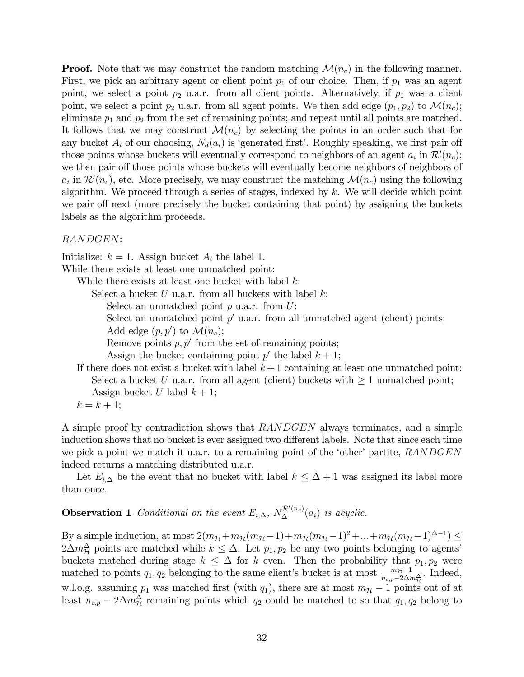**Proof.** Note that we may construct the random matching  $\mathcal{M}(n_c)$  in the following manner. First, we pick an arbitrary agent or client point  $p_1$  of our choice. Then, if  $p_1$  was an agent point, we select a point  $p_2$  u.a.r. from all client points. Alternatively, if  $p_1$  was a client point, we select a point  $p_2$  u.a.r. from all agent points. We then add edge  $(p_1, p_2)$  to  $\mathcal{M}(n_c)$ ; eliminate  $p_1$  and  $p_2$  from the set of remaining points; and repeat until all points are matched. It follows that we may construct  $\mathcal{M}(n_c)$  by selecting the points in an order such that for any bucket  $A_i$  of our choosing,  $N_d(a_i)$  is 'generated first'. Roughly speaking, we first pair off those points whose buckets will eventually correspond to neighbors of an agent  $a_i$  in  $\mathcal{R}'(n_c)$ ; we then pair off those points whose buckets will eventually become neighbors of neighbors of  $a_i$  in  $\mathcal{R}'(n_c)$ , etc. More precisely, we may construct the matching  $\mathcal{M}(n_c)$  using the following algorithm. We proceed through a series of stages, indexed by  $k$ . We will decide which point we pair off next (more precisely the bucket containing that point) by assigning the buckets labels as the algorithm proceeds.

#### RANDGEN:

Initialize:  $k = 1$ . Assign bucket  $A_i$  the label 1.

While there exists at least one unmatched point:

While there exists at least one bucket with label  $k$ :

Select a bucket  $U$  u.a.r. from all buckets with label  $k$ :

Select an unmatched point  $p$  u.a.r. from  $U$ :

Select an unmatched point  $p'$  u.a.r. from all unmatched agent (client) points;

Add edge  $(p, p')$  to  $\mathcal{M}(n_c)$ ;

Remove points  $p, p'$  from the set of remaining points;

Assign the bucket containing point  $p'$  the label  $k + 1$ ;

If there does not exist a bucket with label  $k+1$  containing at least one unmatched point: Select a bucket U u.a.r. from all agent (client) buckets with  $\geq 1$  unmatched point; Assign bucket U label  $k + 1$ ;

 $k = k + 1;$ 

A simple proof by contradiction shows that RANDGEN always terminates, and a simple induction shows that no bucket is ever assigned two different labels. Note that since each time we pick a point we match it u.a.r. to a remaining point of the 'other' partite,  $RANDGEN$ indeed returns a matching distributed u.a.r.

Let  $E_{i,\Delta}$  be the event that no bucket with label  $k \leq \Delta + 1$  was assigned its label more than once.

# **Observation 1** Conditional on the event  $E_{i,\Delta}$ ,  $N_{\Delta}^{\mathcal{R}'(n_c)}(a_i)$  is acyclic.

By a simple induction, at most  $2(m_{\mathcal{H}}+m_{\mathcal{H}}(m_{\mathcal{H}}-1)+m_{\mathcal{H}}(m_{\mathcal{H}}-1)^2+...+m_{\mathcal{H}}(m_{\mathcal{H}}-1)^{\Delta-1}) \leq$  $2\Delta m_{\mathcal{H}}^{\Delta}$  points are matched while  $k \leq \Delta$ . Let  $p_1, p_2$  be any two points belonging to agents' buckets matched during stage  $k \leq \Delta$  for k even. Then the probability that  $p_1, p_2$  were matched to points  $q_1, q_2$  belonging to the same client's bucket is at most  $\frac{m_{\mathcal{H}}-1}{n_{c,p}-2\Delta m_{\mathcal{H}}^{\Delta}}$ . Indeed, w.l.o.g. assuming  $p_1$  was matched first (with  $q_1$ ), there are at most  $m_{\mathcal{H}} - 1$  points out of at least  $n_{c,p} - 2\Delta m_H^{\Delta}$  remaining points which  $q_2$  could be matched to so that  $q_1, q_2$  belong to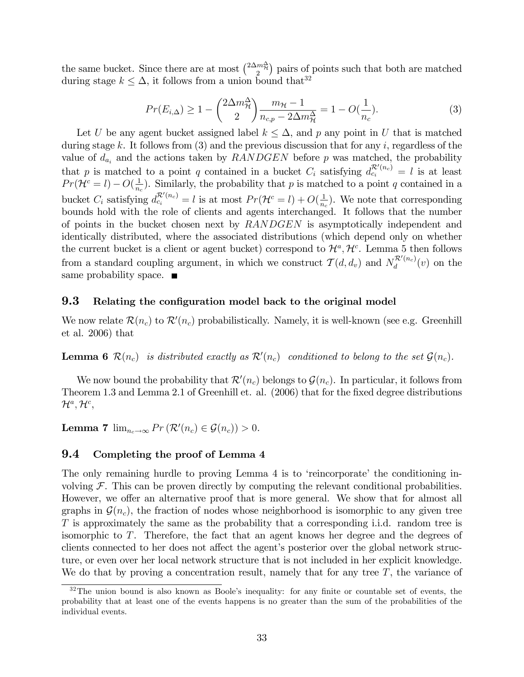the same bucket. Since there are at most  $\binom{2\Delta m_{\gamma}^{\Delta}}{2}$  pairs of points such that both are matched during stage  $k \leq \Delta$ , it follows from a union bound that<sup>32</sup>

$$
Pr(E_{i,\Delta}) \ge 1 - \binom{2\Delta m_{\mathcal{H}}^{\Delta}}{2} \frac{m_{\mathcal{H}} - 1}{n_{c,p} - 2\Delta m_{\mathcal{H}}^{\Delta}} = 1 - O(\frac{1}{n_c}).\tag{3}
$$

Let U be any agent bucket assigned label  $k \leq \Delta$ , and p any point in U that is matched during stage k. It follows from  $(3)$  and the previous discussion that for any i, regardless of the value of  $d_{a_i}$  and the actions taken by  $RANDGEN$  before p was matched, the probability that p is matched to a point q contained in a bucket  $C_i$  satisfying  $d_{c_i}^{\mathcal{R}'(n_c)} = l$  is at least  $Pr(\mathcal{H}^c = l) - O(\frac{1}{n_c})$  $\frac{1}{n_c}$ ). Similarly, the probability that p is matched to a point q contained in a bucket  $C_i$  satisfying  $d_{c_i}^{\mathcal{R}'(n_c)} = l$  is at most  $Pr(\mathcal{H}^c = l) + O(\frac{1}{n_c})$  $\frac{1}{n_c}$ ). We note that corresponding bounds hold with the role of clients and agents interchanged. It follows that the number of points in the bucket chosen next by RANDGEN is asymptotically independent and identically distributed, where the associated distributions (which depend only on whether the current bucket is a client or agent bucket) correspond to  $\mathcal{H}^a$ ,  $\mathcal{H}^c$ . Lemma 5 then follows from a standard coupling argument, in which we construct  $\mathcal{T}(d, d_v)$  and  $N_d^{\mathcal{R}'(n_c)}$  $\frac{d}{d}$ <sup> $(v)$ </sup> on the same probability space.  $\blacksquare$ 

#### **9.3** Relating the configuration model back to the original model

We now relate  $\mathcal{R}(n_c)$  to  $\mathcal{R}'(n_c)$  probabilistically. Namely, it is well-known (see e.g. Greenhill et al. 2006) that

**Lemma 6**  $\mathcal{R}(n_c)$  is distributed exactly as  $\mathcal{R}'(n_c)$  conditioned to belong to the set  $\mathcal{G}(n_c)$ .

We now bound the probability that  $\mathcal{R}'(n_c)$  belongs to  $\mathcal{G}(n_c)$ . In particular, it follows from Theorem 1.3 and Lemma 2.1 of Greenhill et. al. (2006) that for the fixed degree distributions  $\mathcal{H}^{a},\mathcal{H}^{c},$ 

**Lemma 7**  $\lim_{n_c \to \infty} Pr(R'(n_c) \in \mathcal{G}(n_c)) > 0.$ 

#### 9.4 Completing the proof of Lemma 4

The only remaining hurdle to proving Lemma 4 is to 'reincorporate' the conditioning involving  $\mathcal F$ . This can be proven directly by computing the relevant conditional probabilities. However, we offer an alternative proof that is more general. We show that for almost all graphs in  $\mathcal{G}(n_c)$ , the fraction of nodes whose neighborhood is isomorphic to any given tree T is approximately the same as the probability that a corresponding i.i.d. random tree is isomorphic to T. Therefore, the fact that an agent knows her degree and the degrees of clients connected to her does not affect the agent's posterior over the global network structure, or even over her local network structure that is not included in her explicit knowledge. We do that by proving a concentration result, namely that for any tree  $T$ , the variance of

 $32$ The union bound is also known as Boole's inequality: for any finite or countable set of events, the probability that at least one of the events happens is no greater than the sum of the probabilities of the individual events.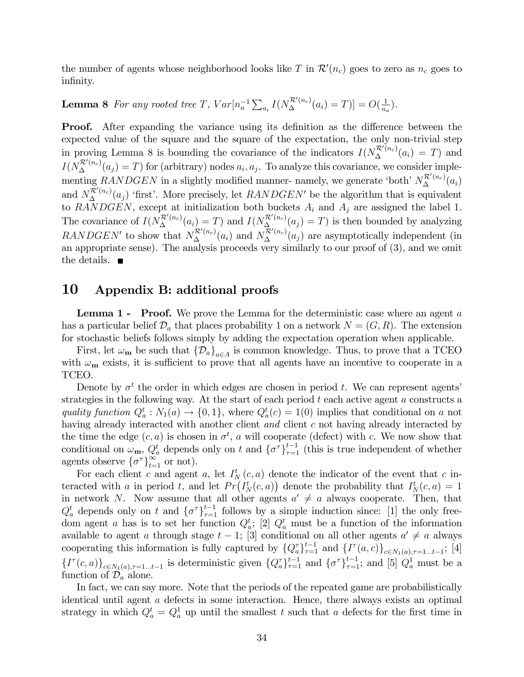the number of agents whose neighborhood looks like T in  $\mathcal{R}'(n_c)$  goes to zero as  $n_c$  goes to infinity.

#### **Lemma 8** For any rooted tree T,  $Var[n_a^{-1} \sum_{a_i} I(N_{\Delta}^{\mathcal{R}'(n_c)}(a_i) = T)] = O(\frac{1}{n_c})$  $\frac{1}{n_a}$ ).

**Proof.** After expanding the variance using its definition as the difference between the expected value of the square and the square of the expectation, the only non-trivial step in proving Lemma 8 is bounding the covariance of the indicators  $I(N_{\Delta}^{\mathcal{R}'(n_c)}(a_i) = T)$  and  $I(N_{\Delta}^{\mathcal{R}'(n_c)}(a_j) = T)$  for (arbitrary) nodes  $a_i, a_j$ . To analyze this covariance, we consider implementing RANDGEN in a slightly modified manner- namely, we generate 'both'  $N_{\Delta}^{\mathcal{R}'(n_c)}(a_i)$ and  $N_{\Delta}^{\mathcal{R}'(n_c)}(a_j)$  'first'. More precisely, let  $RANDGEN'$  be the algorithm that is equivalent to  $\overrightarrow{RANDGEN}$ , except at initialization both buckets  $A_i$  and  $A_j$  are assigned the label 1. The covariance of  $I(N_\Delta^{\mathcal{R}'(n_c)}(a_i) = T)$  and  $I(N_\Delta^{\mathcal{R}'(n_c)}(a_j) = T)$  is then bounded by analyzing RANDGEN' to show that  $N_{\Delta}^{\mathcal{R}'(n_c)}(a_i)$  and  $N_{\Delta}^{\mathcal{R}'(n_c)}(a_j)$  are asymptotically independent (in an appropriate sense). The analysis proceeds very similarly to our proof of (3), and we omit the details.  $\blacksquare$ 

## 10 Appendix B: additional proofs

**Lemma 1 - Proof.** We prove the Lemma for the deterministic case where an agent  $a$ has a particular belief  $\mathcal{D}_a$  that places probability 1 on a network  $N = (G, R)$ . The extension for stochastic beliefs follows simply by adding the expectation operation when applicable.

First, let  $\omega_{\mathbf{m}}$  be such that  $\{\mathcal{D}_a\}_{a \in A}$  is common knowledge. Thus, to prove that a TCEO with  $\omega_{\bf m}$  exists, it is sufficient to prove that all agents have an incentive to cooperate in a TCEO.

Denote by  $\sigma^t$  the order in which edges are chosen in period t. We can represent agents' strategies in the following way. At the start of each period  $t$  each active agent  $a$  constructs a quality function  $Q_a^t : N_1(a) \to \{0, 1\}$ , where  $Q_a^t(c) = 1(0)$  implies that conditional on a not having already interacted with another client and client c not having already interacted by the time the edge  $(c, a)$  is chosen in  $\sigma^t$ , a will cooperate (defect) with c. We now show that conditional on  $\omega_{\mathbf{m}}, Q_a^t$  depends only on t and  $\{\sigma^{\tau}\}_{\tau=1}^{t-1}$  (this is true independent of whether agents observe  $\{\sigma^{\tau}\}_{t=1}^{\infty}$  or not).

For each client c and agent a, let  $I_N^t(c, a)$  denote the indicator of the event that c interacted with a in period t, and let  $Pr(I_N^t(c, a))$  denote the probability that  $I_N^t(c, a) = 1$ in network N. Now assume that all other agents  $a' \neq a$  always cooperate. Then, that  $Q_a^t$  depends only on t and  $\{\sigma^{\tau}\}_{\tau=1}^{t-1}$  follows by a simple induction since: [1] the only freedom agent a has is to set her function  $Q_a^t$ ; [2]  $Q_a^t$  must be a function of the information available to agent a through stage  $t-1$ ; [3] conditional on all other agents  $a' \neq a$  always cooperating this information is fully captured by  $\{Q_a^{\tau}\}_{\tau=1}^{t-1}$  and  $\{I^{\tau}(a,c)\}_{c \in N_1(a), \tau=1...t-1}$ ; [4]  $\{I^{\tau}(c,a)\}_{c \in N_1(a), \tau=1...t-1}$  is deterministic given  $\{Q_a^{\tau}\}_{\tau=1}^{t-1}$  and  $\{\sigma^{\tau}\}_{\tau=1}^{t-1}$ ; and [5]  $Q_a^1$  must be a function of  $\mathcal{D}_a$  alone.

In fact, we can say more. Note that the periods of the repeated game are probabilistically identical until agent a defects in some interaction. Hence, there always exists an optimal strategy in which  $Q_a^t = Q_a^1$  up until the smallest t such that a defects for the first time in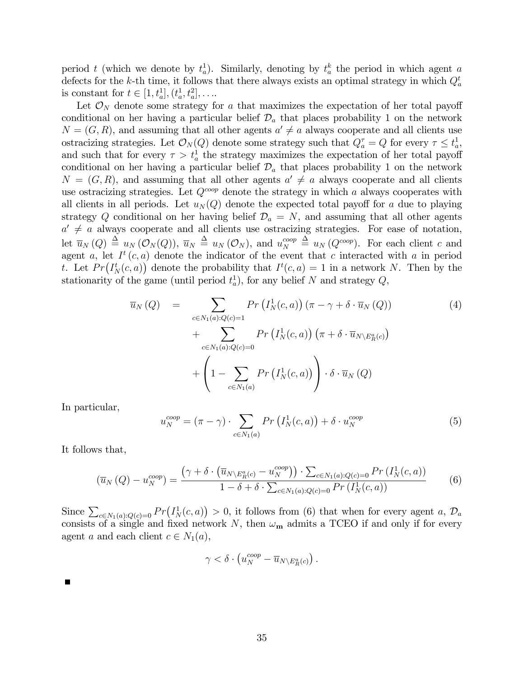period t (which we denote by  $t_a^1$ ). Similarly, denoting by  $t_a^k$  the period in which agent a defects for the k-th time, it follows that there always exists an optimal strategy in which  $Q_a^t$ is constant for  $t \in [1, t_a^1], (t_a^1, t_a^2], \ldots$ 

Let  $\mathcal{O}_N$  denote some strategy for a that maximizes the expectation of her total payoff conditional on her having a particular belief  $\mathcal{D}_a$  that places probability 1 on the network  $N = (G, R)$ , and assuming that all other agents  $a' \neq a$  always cooperate and all clients use ostracizing strategies. Let  $\mathcal{O}_N(Q)$  denote some strategy such that  $Q_a^{\tau} = Q$  for every  $\tau \leq t_a^1$ , and such that for every  $\tau > t_a^1$  the strategy maximizes the expectation of her total payoff conditional on her having a particular belief  $\mathcal{D}_a$  that places probability 1 on the network  $N = (G, R)$ , and assuming that all other agents  $a' \neq a$  always cooperate and all clients use ostracizing strategies. Let  $Q^{coop}$  denote the strategy in which a always cooperates with all clients in all periods. Let  $u_N(Q)$  denote the expected total payoff for a due to playing strategy Q conditional on her having belief  $\mathcal{D}_a = N$ , and assuming that all other agents  $a' \neq a$  always cooperate and all clients use ostracizing strategies. For ease of notation, let  $\overline{u}_N(Q) \triangleq u_N(\mathcal{O}_N(Q)), \overline{u}_N \triangleq u_N(\mathcal{O}_N)$ , and  $u_N^{coop}$  $N \stackrel{coop}{=} u_N(Q^{coop})$ . For each client c and agent a, let  $I^t(c, a)$  denote the indicator of the event that c interacted with a in period t. Let  $Pr(I^t_N(c, a))$  denote the probability that  $I^t(c, a) = 1$  in a network N. Then by the stationarity of the game (until period  $t_a^1$ ), for any belief N and strategy  $Q$ ,

$$
\overline{u}_{N}(Q) = \sum_{c \in N_{1}(a): Q(c)=1} Pr\left(I_{N}^{1}(c, a)\right) (\pi - \gamma + \delta \cdot \overline{u}_{N}(Q))
$$
\n
$$
+ \sum_{c \in N_{1}(a): Q(c)=0} Pr\left(I_{N}^{1}(c, a)\right) (\pi + \delta \cdot \overline{u}_{N \setminus E_{R}^{a}(c)})
$$
\n
$$
+ \left(1 - \sum_{c \in N_{1}(a)} Pr\left(I_{N}^{1}(c, a)\right)\right) \cdot \delta \cdot \overline{u}_{N}(Q)
$$
\n
$$
(4)
$$

In particular,

$$
u_N^{coop} = (\pi - \gamma) \cdot \sum_{c \in N_1(a)} Pr\left(I_N^1(c, a)\right) + \delta \cdot u_N^{coop} \tag{5}
$$

It follows that,

$$
\left(\overline{u}_N\left(Q\right) - u_N^{coop}\right) = \frac{\left(\gamma + \delta \cdot \left(\overline{u}_{N \setminus E_R^a(c)} - u_N^{coop}\right)\right) \cdot \sum_{c \in N_1(a): Q(c) = 0} Pr\left(I_N^1(c, a)\right)}{1 - \delta + \delta \cdot \sum_{c \in N_1(a): Q(c) = 0} Pr\left(I_N^1(c, a)\right)}\tag{6}
$$

Since  $\sum_{c \in N_1(a): Q(c) = 0} Pr(I_N^1(c, a)) > 0$ , it follows from (6) that when for every agent a,  $\mathcal{D}_a$ consists of a single and fixed network N, then  $\omega_{\mathbf{m}}$  admits a TCEO if and only if for every agent a and each client  $c \in N_1(a)$ ,

$$
\gamma < \delta \cdot \left( u_N^{coop} - \overline{u}_{N \setminus E_R^a(c)} \right).
$$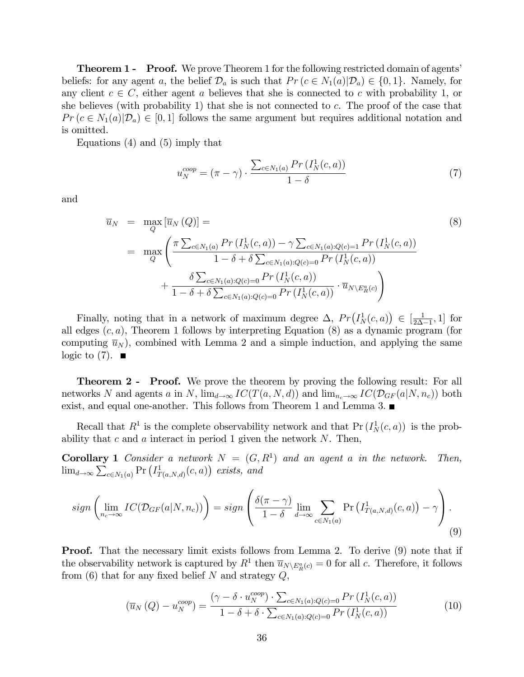**Theorem 1 - Proof.** We prove Theorem 1 for the following restricted domain of agents' beliefs: for any agent a, the belief  $\mathcal{D}_a$  is such that  $Pr(c \in N_1(a)|\mathcal{D}_a) \in \{0,1\}$ . Namely, for any client  $c \in C$ , either agent a believes that she is connected to c with probability 1, or she believes (with probability 1) that she is not connected to c. The proof of the case that  $Pr(c \in N_1(a)|\mathcal{D}_a) \in [0,1]$  follows the same argument but requires additional notation and is omitted.

Equations (4) and (5) imply that

$$
u_N^{coop} = (\pi - \gamma) \cdot \frac{\sum_{c \in N_1(a)} Pr(I_N^1(c, a))}{1 - \delta} \tag{7}
$$

and

$$
\overline{u}_{N} = \max_{Q} [\overline{u}_{N}(Q)] =
$$
\n
$$
= \max_{Q} \left( \frac{\pi \sum_{c \in N_{1}(a)} Pr(I_{N}^{1}(c, a)) - \gamma \sum_{c \in N_{1}(a): Q(c) = 1} Pr(I_{N}^{1}(c, a))}{1 - \delta + \delta \sum_{c \in N_{1}(a): Q(c) = 0} Pr(I_{N}^{1}(c, a))} + \frac{\delta \sum_{c \in N_{1}(a): Q(c) = 0} Pr(I_{N}^{1}(c, a))}{1 - \delta + \delta \sum_{c \in N_{1}(a): Q(c) = 0} Pr(I_{N}^{1}(c, a))} \cdot \overline{u}_{N \setminus E_{R}^{a}(c)} \right)
$$
\n(8)

Finally, noting that in a network of maximum degree  $\Delta$ ,  $Pr(I_N^1(c, a)) \in [\frac{1}{2\Delta}]$  $\frac{1}{2\Delta-1}, 1$  for all edges  $(c, a)$ , Theorem 1 follows by interpreting Equation  $(8)$  as a dynamic program (for computing  $\overline{u}_N$ , combined with Lemma 2 and a simple induction, and applying the same logic to  $(7)$ .

**Theorem 2 - Proof.** We prove the theorem by proving the following result: For all networks N and agents a in N,  $\lim_{d\to\infty} IC(T(a, N, d))$  and  $\lim_{n_c\to\infty} IC(\mathcal{D}_{GF}(a|N, n_c))$  both exist, and equal one-another. This follows from Theorem 1 and Lemma 3.

Recall that  $R^1$  is the complete observability network and that  $Pr(I_N^1(c, a))$  is the probability that  $c$  and  $a$  interact in period 1 given the network  $N$ . Then,

**Corollary 1** Consider a network  $N = (G, R^1)$  and an agent a in the network. Then,  $\lim_{d\to\infty}\sum_{c\in N_1(a)} \Pr\left(I^1_{T(a,N,d)}(c,a)\right)$  exists, and

$$
sign\left(\lim_{n_c \to \infty} IC(\mathcal{D}_{GF}(a|N, n_c))\right) = sign\left(\frac{\delta(\pi - \gamma)}{1 - \delta} \lim_{d \to \infty} \sum_{c \in N_1(a)} \Pr\left(I^1_{T(a, N, d)}(c, a)\right) - \gamma\right).
$$
\n(9)

**Proof.** That the necessary limit exists follows from Lemma 2. To derive (9) note that if the observability network is captured by  $R^1$  then  $\overline{u}_{N\setminus E_R^a(c)} = 0$  for all c. Therefore, it follows from (6) that for any fixed belief  $N$  and strategy  $Q$ ,

$$
\left(\overline{u}_{N}\left(Q\right) - u_{N}^{coop}\right) = \frac{\left(\gamma - \delta \cdot u_{N}^{coop}\right) \cdot \sum_{c \in N_{1}(a): Q(c) = 0} Pr\left(I_{N}^{1}(c, a)\right)}{1 - \delta + \delta \cdot \sum_{c \in N_{1}(a): Q(c) = 0} Pr\left(I_{N}^{1}(c, a)\right)}
$$
\n(10)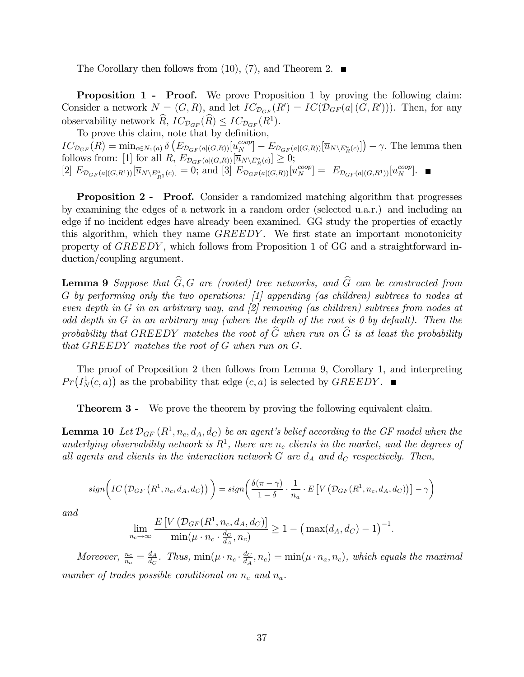The Corollary then follows from  $(10)$ ,  $(7)$ , and Theorem 2.

**Proposition 1 - Proof.** We prove Proposition 1 by proving the following claim: Consider a network  $N = (G, R)$ , and let  $IC_{\mathcal{D}_{GF}}(R') = IC(\mathcal{D}_{GF}(a|(G, R')))$ . Then, for any observability network  $\widehat{R}$ ,  $IC_{\mathcal{D}_{GF}}(\widehat{R}) \leq IC_{\mathcal{D}_{GF}}(R^1)$ .

To prove this claim, note that by definition,  $IC_{\mathcal{D}_{GF}}(R) = \min_{c \in N_1(a)} \delta \left( E_{\mathcal{D}_{GF}(a|(G,R))}[u_N^{coop}] - E_{\mathcal{D}_{GF}(a|(G,R))}[\overline{u}_{N \setminus E_R^a(c)}] \right) - \gamma.$  The lemma then follows from: [1] for all  $R$ ,  $E_{\mathcal{D}_{GF}(a|(G,R))}[\overline{u}_{N\setminus E_R^a(c)}] \geq 0;$  $[2]$   $E_{\mathcal{D}_{GF}(a|(G,R^1))}[\overline{u}_{N\setminus E_{R^1}^a(c)}]=0$ ; and  $[3]$   $E_{\mathcal{D}_{GF}(a|(G,R))}[u_N^{coop}] = E_{\mathcal{D}_{GF}(a|(G,R^1))}[u_N^{coop}]$ .

**Proposition 2 - Proof.** Consider a randomized matching algorithm that progresses by examining the edges of a network in a random order (selected u.a.r.) and including an edge if no incident edges have already been examined. GG study the properties of exactly this algorithm, which they name GREEDY. We first state an important monotonicity property of GREEDY , which follows from Proposition 1 of GG and a straightforward induction/coupling argument.

**Lemma 9** Suppose that  $\widehat{G}$ , G are (rooted) tree networks, and  $\widehat{G}$  can be constructed from G by performing only the two operations: [1] appending (as children) subtrees to nodes at even depth in G in an arbitrary way, and [2] removing (as children) subtrees from nodes at odd depth in G in an arbitrary way (where the depth of the root is  $\theta$  by default). Then the probability that GREEDY matches the root of  $\widehat{G}$  when run on  $\widehat{G}$  is at least the probability that GREEDY matches the root of G when run on G.

The proof of Proposition 2 then follows from Lemma 9, Corollary 1, and interpreting  $Pr(I_N^1(c, a))$  as the probability that edge  $(c, a)$  is selected by  $GREEDY$ .

**Theorem 3 -** We prove the theorem by proving the following equivalent claim.

**Lemma 10** Let  $\mathcal{D}_{GF}(R^1, n_c, d_A, d_C)$  be an agent's belief according to the GF model when the underlying observability network is  $R^1$ , there are  $n_c$  clients in the market, and the degrees of all agents and clients in the interaction network  $G$  are  $d_A$  and  $d_C$  respectively. Then,

$$
sign\bigg(IC\left(\mathcal{D}_{GF}\left(R^{1}, n_{c}, d_{A}, d_{C}\right)\right)\bigg) = sign\bigg(\frac{\delta(\pi - \gamma)}{1 - \delta} \cdot \frac{1}{n_{a}} \cdot E\left[V\left(\mathcal{D}_{GF}(R^{1}, n_{c}, d_{A}, d_{C})\right)\right] - \gamma\bigg)
$$

and

$$
\lim_{n_c \to \infty} \frac{E\left[V\left(\mathcal{D}_{GF}(R^1, n_c, d_A, d_C)\right]}{\min(\mu \cdot n_c \cdot \frac{d_C}{d_A}, n_c)} \ge 1 - \left(\max(d_A, d_C) - 1\right)^{-1}.
$$

Moreover,  $\frac{n_c}{n_a} = \frac{d_A}{d_C}$  $\frac{d_A}{d_C}$ . Thus, min $(\mu \cdot n_c \cdot \frac{d_C}{d_A})$  $\frac{d_C}{d_A}, n_c$  = min( $\mu \cdot n_a, n_c$ ), which equals the maximal number of trades possible conditional on  $n_c$  and  $n_a$ .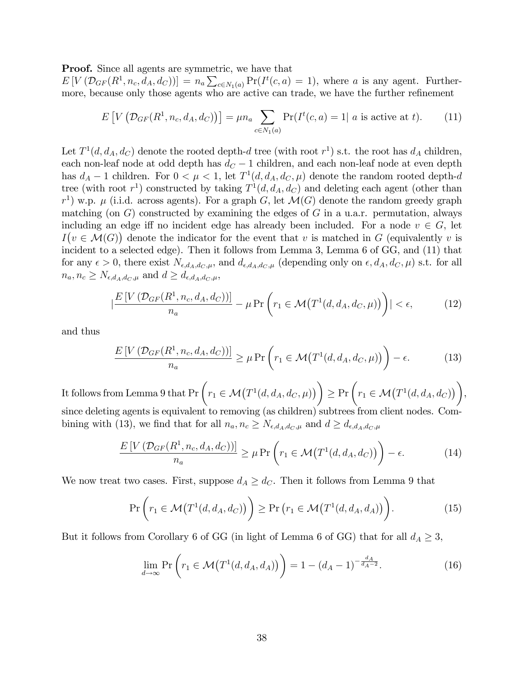**Proof.** Since all agents are symmetric, we have that

 $E[V(\mathcal{D}_{GF}(R^1,n_c,d_A,d_C))] = n_a \sum_{c \in N_1(a)} Pr(I^t(c,a) = 1)$ , where a is any agent. Furthermore, because only those agents who are active can trade, we have the further refinement

$$
E[V(\mathcal{D}_{GF}(R^1, n_c, d_A, d_C))] = \mu n_a \sum_{c \in N_1(a)} \Pr(I^t(c, a) = 1 | a \text{ is active at } t). \tag{11}
$$

Let  $T^1(d, d_A, d_C)$  denote the rooted depth-d tree (with root  $r^1$ ) s.t. the root has  $d_A$  children, each non-leaf node at odd depth has  $d_C - 1$  children, and each non-leaf node at even depth has  $d_A - 1$  children. For  $0 < \mu < 1$ , let  $T^1(d, d_A, d_C, \mu)$  denote the random rooted depth-d tree (with root  $r<sup>1</sup>$ ) constructed by taking  $T<sup>1</sup>(d, d<sub>A</sub>, d<sub>C</sub>)$  and deleting each agent (other than  $r<sup>1</sup>$ ) w.p.  $\mu$  (i.i.d. across agents). For a graph G, let  $\mathcal{M}(G)$  denote the random greedy graph matching (on  $G$ ) constructed by examining the edges of  $G$  in a u.a.r. permutation, always including an edge iff no incident edge has already been included. For a node  $v \in G$ , let  $I(v \in \mathcal{M}(G))$  denote the indicator for the event that v is matched in G (equivalently v is incident to a selected edge). Then it follows from Lemma 3, Lemma 6 of GG, and (11) that for any  $\epsilon > 0$ , there exist  $N_{\epsilon,d_A,d_C,\mu}$ , and  $d_{\epsilon,d_A,d_C,\mu}$  (depending only on  $\epsilon, d_A, d_C, \mu$ ) s.t. for all  $n_a, n_c \geq N_{\epsilon,d_A,d_C,\mu}$  and  $d \geq d_{\epsilon,d_A,d_C,\mu}$ ,

$$
\left| \frac{E\left[V\left(\mathcal{D}_{GF}(R^1, n_c, d_A, d_C)\right)\right]}{n_a} - \mu \Pr\left(r_1 \in \mathcal{M}\left(T^1(d, d_A, d_C, \mu)\right)\right)\right| < \epsilon,\tag{12}
$$

and thus

$$
\frac{E\left[V\left(\mathcal{D}_{GF}(R^1, n_c, d_A, d_C)\right)\right]}{n_a} \geq \mu \Pr\left(r_1 \in \mathcal{M}\left(T^1(d, d_A, d_C, \mu)\right)\right) - \epsilon. \tag{13}
$$

,

It follows from Lemma 9 that  $\Pr\left(r_1 \in \mathcal{M}\big(T^1(d,d_A,d_C,\mu)\big)\right) \geq \Pr\left(r_1 \in \mathcal{M}\big(T^1(d,d_A,d_C)\big)\right)$ since deleting agents is equivalent to removing (as children) subtrees from client nodes. Combining with (13), we find that for all  $n_a, n_c \geq N_{\epsilon,d_A,d_C,\mu}$  and  $d \geq d_{\epsilon,d_A,d_C,\mu}$ 

$$
\frac{E\left[V\left(\mathcal{D}_{GF}(R^1, n_c, d_A, d_C)\right)\right]}{n_a} \ge \mu \Pr\left(r_1 \in \mathcal{M}\left(T^1(d, d_A, d_C)\right)\right) - \epsilon. \tag{14}
$$

We now treat two cases. First, suppose  $d_A \geq d_C$ . Then it follows from Lemma 9 that

$$
\Pr\left(r_1 \in \mathcal{M}\big(T^1(d, d_A, d_C)\big)\right) \ge \Pr\left(r_1 \in \mathcal{M}\big(T^1(d, d_A, d_A)\big)\right). \tag{15}
$$

But it follows from Corollary 6 of GG (in light of Lemma 6 of GG) that for all  $d_A \geq 3$ ,

$$
\lim_{d \to \infty} \Pr\left(r_1 \in \mathcal{M}\big(T^1(d, d_A, d_A)\big)\right) = 1 - (d_A - 1)^{-\frac{d_A}{d_A - 2}}.\tag{16}
$$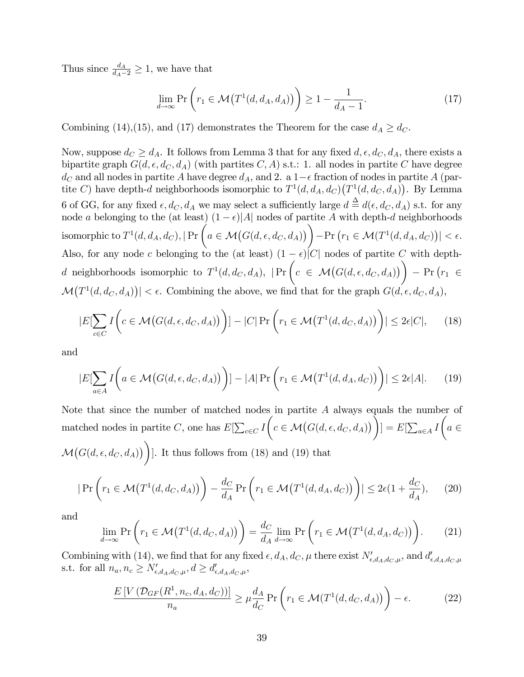Thus since  $\frac{d_A}{d_A-2} \geq 1$ , we have that

$$
\lim_{d \to \infty} \Pr\left(r_1 \in \mathcal{M}\left(T^1(d, d_A, d_A)\right)\right) \ge 1 - \frac{1}{d_A - 1}.\tag{17}
$$

Combining (14),(15), and (17) demonstrates the Theorem for the case  $d_A \geq d_C$ .

Now, suppose  $d_C \geq d_A$ . It follows from Lemma 3 that for any fixed  $d, \epsilon, d_C, d_A$ , there exists a bipartite graph  $G(d, \epsilon, d_C, d_A)$  (with partites C, A) s.t.: 1. all nodes in partite C have degree  $d_C$  and all nodes in partite A have degree  $d_A$ , and 2. a  $1-\epsilon$  fraction of nodes in partite A (partite C) have depth-d neighborhoods isomorphic to  $T^1(d, d_A, d_C)(T^1(d, d_C, d_A))$ . By Lemma 6 of GG, for any fixed  $\epsilon, d_C, d_A$  we may select a sufficiently large  $d \triangleq d(\epsilon, d_C, d_A)$  s.t. for any node a belonging to the (at least)  $(1 - \epsilon)|A|$  nodes of partite A with depth-d neighborhoods isomorphic to  $T^1$  $(d,d_A,d_C), |\Pr\left(a\in \mathcal{M}\big(G(d,\epsilon,d_C,d_A)\big)\right) - \Pr\big(r_1\in \mathcal{M}(T^1(d,d_A,d_C))\big| < \epsilon.$ Also, for any node c belonging to the (at least)  $(1 - \epsilon)|C|$  nodes of partite C with depthd neighborhoods isomorphic to  $T<sup>1</sup>$  $(d, d_C, d_A), \; | \Pr \left( c \in \mathcal{M}(G(d, \epsilon, d_C, d_A)) \right) - \Pr \left( r_1 \in$  $\mathcal{M}(T^1(d, d_C, d_A)) \leq \epsilon$ . Combining the above, we find that for the graph  $G(d, \epsilon, d_C, d_A)$ ,

$$
|E[\sum_{c \in C} I\left(c \in \mathcal{M}\big(G(d,\epsilon,d_C,d_A)\big)\right)] - |C| \Pr\bigg(r_1 \in \mathcal{M}\big(T^1(d,d_C,d_A)\big)\bigg)| \le 2\epsilon |C|, \qquad (18)
$$

and

$$
|E[\sum_{a\in A} I\bigg(a\in \mathcal{M}\big(G(d,\epsilon,d_C,d_A)\bigg)\bigg)] - |A| \Pr\bigg(r_1 \in \mathcal{M}\big(T^1(d,d_A,d_C)\big)\bigg)| \le 2\epsilon |A|.\tag{19}
$$

Note that since the number of matched nodes in partite A always equals the number of matched nodes in partite C, one has  $E[\sum_{c \in C} I]$  $\left(c \in \mathcal{M}\big(G(d,\epsilon,d_C,d_A)\big)\right)$  $] = E[\sum_{a \in A} I$  $\sqrt{ }$  $a \in$  $\mathcal{M}\big(G(d,\epsilon,d_C,d_A)\big)\bigg)$ ]. It thus follows from (18) and (19) that

$$
|\Pr\left(r_1 \in \mathcal{M}\big(T^1(d, d_C, d_A)\big)\right) - \frac{d_C}{d_A} \Pr\left(r_1 \in \mathcal{M}\big(T^1(d, d_A, d_C)\big)\right)| \le 2\epsilon(1 + \frac{d_C}{d_A}),\tag{20}
$$

and

$$
\lim_{d \to \infty} \Pr\left(r_1 \in \mathcal{M}\left(T^1(d, d_C, d_A)\right)\right) = \frac{d_C}{d_A} \lim_{d \to \infty} \Pr\left(r_1 \in \mathcal{M}\left(T^1(d, d_A, d_C)\right)\right). \tag{21}
$$

Combining with (14), we find that for any fixed  $\epsilon, d_A, d_C, \mu$  there exist  $N'_{\epsilon, d_A, d_C, \mu}$ , and  $d'_{\epsilon, d_A, d_C, \mu}$ s.t. for all  $n_a, n_c \ge N'_{\epsilon,d_A,d_C,\mu}, d \ge d'_{\epsilon,d_A,d_C,\mu},$ 

$$
\frac{E\left[V\left(\mathcal{D}_{GF}(R^1, n_c, d_A, d_C)\right)\right]}{n_a} \ge \mu \frac{d_A}{d_C} \Pr\left(r_1 \in \mathcal{M}(T^1(d, d_C, d_A))\right) - \epsilon. \tag{22}
$$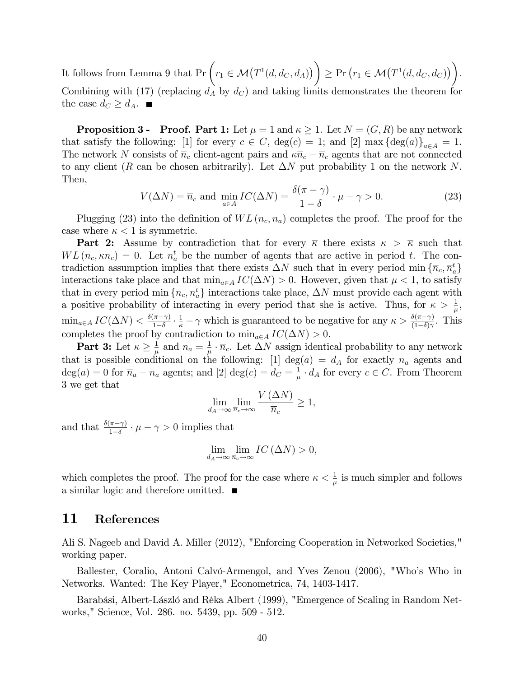It follows from Lemma 9 that  $Pr\left(r_1 \in \mathcal{M}(T^1(d, d_C, d_A))\right) \geq Pr\left(r_1 \in \mathcal{M}(T^1(d, d_C, d_C))\right)$ : Combining with (17) (replacing  $d_A$  by  $d_C$ ) and taking limits demonstrates the theorem for the case  $d_C \geq d_A$ .

**Proposition 3 - Proof. Part 1:** Let  $\mu = 1$  and  $\kappa \geq 1$ . Let  $N = (G, R)$  be any network that satisfy the following: [1] for every  $c \in C$ ,  $deg(c) = 1$ ; and [2] max  ${deg(a)}_{a \in A} = 1$ . The network N consists of  $\bar{n}_c$  client-agent pairs and  $\kappa \bar{n}_c - \bar{n}_c$  agents that are not connected to any client (R can be chosen arbitrarily). Let  $\Delta N$  put probability 1 on the network N. Then,

$$
V(\Delta N) = \overline{n}_c \text{ and } \min_{a \in A} IC(\Delta N) = \frac{\delta(\pi - \gamma)}{1 - \delta} \cdot \mu - \gamma > 0. \tag{23}
$$

Plugging (23) into the definition of  $WL(\overline{n}_c, \overline{n}_a)$  completes the proof. The proof for the case where  $\kappa < 1$  is symmetric.

**Part 2:** Assume by contradiction that for every  $\overline{\kappa}$  there exists  $\kappa > \overline{\kappa}$  such that  $WL(\overline{n}_c, \kappa \overline{n}_c) = 0$ . Let  $\overline{n}_a^t$  be the number of agents that are active in period t. The contradiction assumption implies that there exists  $\Delta N$  such that in every period min  $\{\overline{n}_c, \overline{n}_a^t\}$ interactions take place and that  $\min_{a \in A} IC(\Delta N) > 0$ . However, given that  $\mu < 1$ , to satisfy that in every period min  $\{\overline{n}_c, \overline{n}_a^t\}$  interactions take place,  $\Delta N$  must provide each agent with a positive probability of interacting in every period that she is active. Thus, for  $\kappa > \frac{1}{\mu}$ ,  $\min_{a \in A} IC(\Delta N) < \frac{\delta(\pi - \gamma)}{1 - \delta}$  $\frac{1}{1-\delta} \cdot \frac{1}{\kappa} - \gamma$  which is guaranteed to be negative for any  $\kappa > \frac{\delta(\pi - \gamma)}{(1-\delta)\gamma}$ . This completes the proof by contradiction to  $\min_{a \in A} IC(\Delta N) > 0$ .

Part 3: Let  $\kappa \geq \frac{1}{\mu}$  $\frac{1}{\mu}$  and  $n_a = \frac{1}{\mu}$  $\frac{1}{\mu} \cdot \overline{n}_c$ . Let  $\Delta N$  assign identical probability to any network that is possible conditional on the following: [1] deg(a) =  $d_A$  for exactly  $n_a$  agents and  $deg(a) = 0$  for  $\overline{n}_a - n_a$  agents; and [2]  $deg(c) = d_C = \frac{1}{\mu}$  $\frac{1}{\mu} \cdot d_A$  for every  $c \in C$ . From Theorem 3 we get that

$$
\lim_{d_A \to \infty} \lim_{\overline{n}_c \to \infty} \frac{V(\Delta N)}{\overline{n}_c} \ge 1,
$$

and that  $\frac{\delta(\pi-\gamma)}{1-\delta} \cdot \mu - \gamma > 0$  implies that

$$
\lim_{d_A \to \infty} \lim_{\overline{n}_c \to \infty} IC\left(\Delta N\right) > 0,
$$

which completes the proof. The proof for the case where  $\kappa < \frac{1}{\mu}$  is much simpler and follows a similar logic and therefore omitted.

### 11 References

Ali S. Nageeb and David A. Miller (2012), "Enforcing Cooperation in Networked Societies," working paper.

Ballester, Coralio, Antoni Calvó-Armengol, and Yves Zenou (2006), "Who's Who in Networks. Wanted: The Key Player," Econometrica, 74, 1403-1417.

Barabási, Albert-László and Réka Albert (1999), "Emergence of Scaling in Random Networks," Science, Vol. 286. no. 5439, pp. 509 - 512.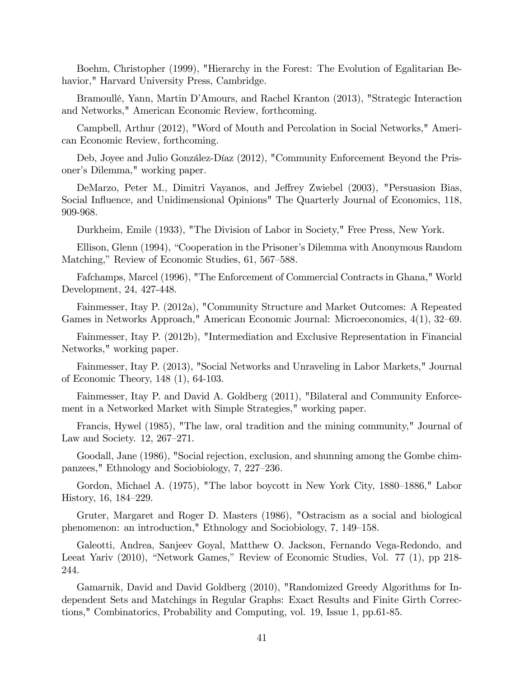Boehm, Christopher (1999), "Hierarchy in the Forest: The Evolution of Egalitarian Behavior," Harvard University Press, Cambridge.

Bramoullé, Yann, Martin D'Amours, and Rachel Kranton (2013), "Strategic Interaction and Networks," American Economic Review, forthcoming.

Campbell, Arthur (2012), "Word of Mouth and Percolation in Social Networks," American Economic Review, forthcoming.

Deb, Joyee and Julio González-Díaz (2012), "Community Enforcement Beyond the Prisoner's Dilemma," working paper.

DeMarzo, Peter M., Dimitri Vayanos, and Jeffrey Zwiebel (2003), "Persuasion Bias, Social Influence, and Unidimensional Opinions" The Quarterly Journal of Economics, 118, 909-968.

Durkheim, Emile (1933), "The Division of Labor in Society," Free Press, New York.

Ellison, Glenn (1994), "Cooperation in the Prisoner's Dilemma with Anonymous Random Matching," Review of Economic Studies, 61, 567–588.

Fafchamps, Marcel (1996), "The Enforcement of Commercial Contracts in Ghana," World Development, 24, 427-448.

Fainmesser, Itay P. (2012a), "Community Structure and Market Outcomes: A Repeated Games in Networks Approach," American Economic Journal: Microeconomics, 4(1), 32–69.

Fainmesser, Itay P. (2012b), "Intermediation and Exclusive Representation in Financial Networks," working paper.

Fainmesser, Itay P. (2013), "Social Networks and Unraveling in Labor Markets," Journal of Economic Theory, 148 (1), 64-103.

Fainmesser, Itay P. and David A. Goldberg (2011), "Bilateral and Community Enforcement in a Networked Market with Simple Strategies," working paper.

Francis, Hywel (1985), "The law, oral tradition and the mining community," Journal of Law and Society.  $12, 267-271$ .

Goodall, Jane (1986), "Social rejection, exclusion, and shunning among the Gombe chimpanzees," Ethnology and Sociobiology, 7, 227–236.

Gordon, Michael A. (1975), "The labor boycott in New York City, 1880–1886," Labor History,  $16, 184-229$ .

Gruter, Margaret and Roger D. Masters (1986), "Ostracism as a social and biological phenomenon: an introduction," Ethnology and Sociobiology, 7, 149–158.

Galeotti, Andrea, Sanjeev Goyal, Matthew O. Jackson, Fernando Vega-Redondo, and Leeat Yariv (2010), "Network Games," Review of Economic Studies, Vol. 77 (1), pp 218-244.

Gamarnik, David and David Goldberg (2010), "Randomized Greedy Algorithms for Independent Sets and Matchings in Regular Graphs: Exact Results and Finite Girth Corrections," Combinatorics, Probability and Computing, vol. 19, Issue 1, pp.61-85.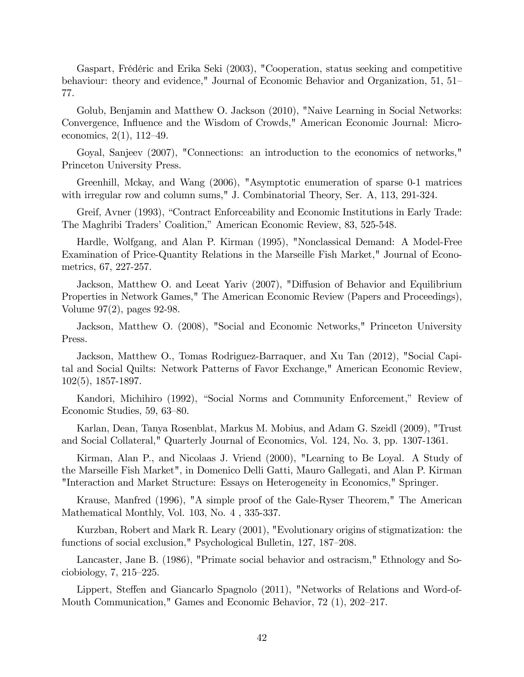Gaspart, FrÈdÈric and Erika Seki (2003), "Cooperation, status seeking and competitive behaviour: theory and evidence," Journal of Economic Behavior and Organization, 51, 51 77.

Golub, Benjamin and Matthew O. Jackson (2010), "Naive Learning in Social Networks: Convergence, Influence and the Wisdom of Crowds," American Economic Journal: Microeconomics,  $2(1)$ ,  $112-49$ .

Goyal, Sanjeev (2007), "Connections: an introduction to the economics of networks," Princeton University Press.

Greenhill, Mckay, and Wang (2006), "Asymptotic enumeration of sparse 0-1 matrices with irregular row and column sums," J. Combinatorial Theory, Ser. A, 113, 291-324.

Greif, Avner (1993), "Contract Enforceability and Economic Institutions in Early Trade: The Maghribi Traders' Coalition," American Economic Review, 83, 525-548.

Hardle, Wolfgang, and Alan P. Kirman (1995), "Nonclassical Demand: A Model-Free Examination of Price-Quantity Relations in the Marseille Fish Market," Journal of Econometrics, 67, 227-257.

Jackson, Matthew O. and Leeat Yariv (2007), "Diffusion of Behavior and Equilibrium Properties in Network Games," The American Economic Review (Papers and Proceedings), Volume 97(2), pages 92-98.

Jackson, Matthew O. (2008), "Social and Economic Networks," Princeton University Press.

Jackson, Matthew O., Tomas Rodriguez-Barraquer, and Xu Tan (2012), "Social Capital and Social Quilts: Network Patterns of Favor Exchange," American Economic Review, 102(5), 1857-1897.

Kandori, Michihiro (1992), "Social Norms and Community Enforcement," Review of Economic Studies,  $59, 63–80$ .

Karlan, Dean, Tanya Rosenblat, Markus M. Mobius, and Adam G. Szeidl (2009), "Trust and Social Collateral," Quarterly Journal of Economics, Vol. 124, No. 3, pp. 1307-1361.

Kirman, Alan P., and Nicolaas J. Vriend (2000), "Learning to Be Loyal. A Study of the Marseille Fish Market", in Domenico Delli Gatti, Mauro Gallegati, and Alan P. Kirman "Interaction and Market Structure: Essays on Heterogeneity in Economics," Springer.

Krause, Manfred (1996), "A simple proof of the Gale-Ryser Theorem," The American Mathematical Monthly, Vol. 103, No. 4 , 335-337.

Kurzban, Robert and Mark R. Leary (2001), "Evolutionary origins of stigmatization: the functions of social exclusion," Psychological Bulletin, 127, 187–208.

Lancaster, Jane B. (1986), "Primate social behavior and ostracism," Ethnology and Sociobiology,  $7, 215-225$ .

Lippert, Steffen and Giancarlo Spagnolo (2011), "Networks of Relations and Word-of-Mouth Communication," Games and Economic Behavior,  $72$  (1),  $202-217$ .